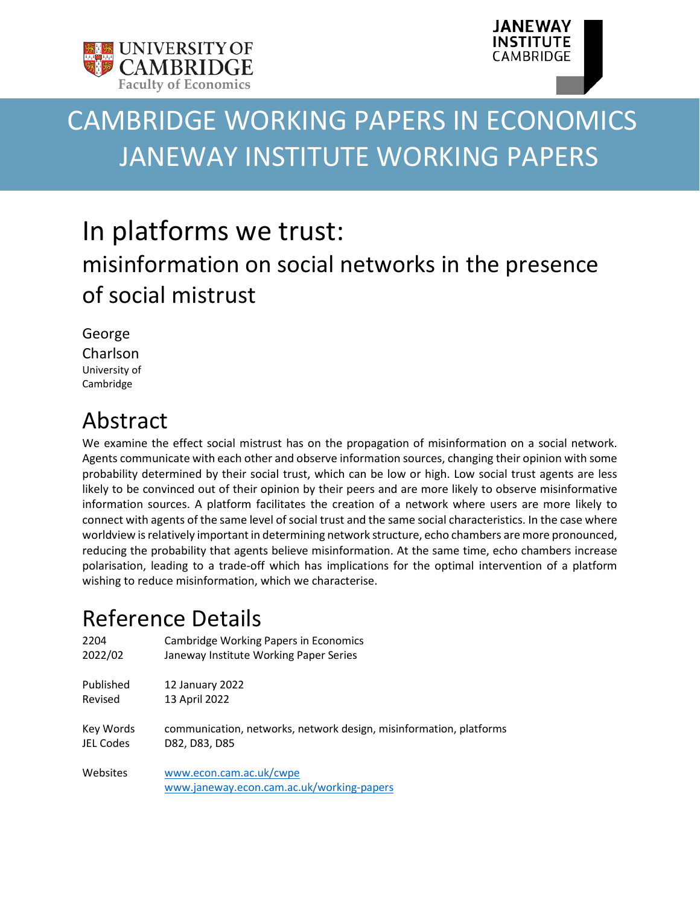



# CAMBRIDGE WORKING PAPERS IN ECONOMICS JANEWAY INSTITUTE WORKING PAPERS

# In platforms we trust: misinformation on social networks in the presence of social mistrust

George Charlson University of Cambridge

# Abstract

We examine the effect social mistrust has on the propagation of misinformation on a social network. Agents communicate with each other and observe information sources, changing their opinion with some probability determined by their social trust, which can be low or high. Low social trust agents are less likely to be convinced out of their opinion by their peers and are more likely to observe misinformative information sources. A platform facilitates the creation of a network where users are more likely to connect with agents of the same level of social trust and the same social characteristics. In the case where worldview is relatively important in determining network structure, echo chambers are more pronounced, reducing the probability that agents believe misinformation. At the same time, echo chambers increase polarisation, leading to a trade-off which has implications for the optimal intervention of a platform wishing to reduce misinformation, which we characterise.

# Reference Details

| 2204             | <b>Cambridge Working Papers in Economics</b>                         |
|------------------|----------------------------------------------------------------------|
| 2022/02          | Janeway Institute Working Paper Series                               |
| Published        | 12 January 2022                                                      |
| Revised          | 13 April 2022                                                        |
| Key Words        | communication, networks, network design, misinformation, platforms   |
| <b>JEL Codes</b> | D82, D83, D85                                                        |
| Websites         | www.econ.cam.ac.uk/cwpe<br>www.janeway.econ.cam.ac.uk/working-papers |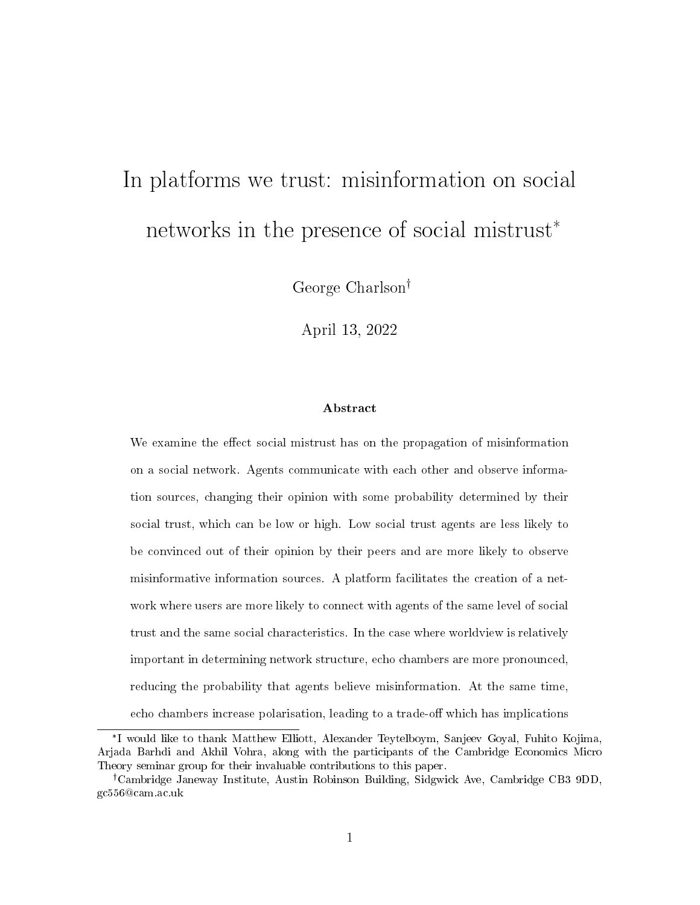# In platforms we trust: misinformation on social networks in the presence of social mistrust\*

George Charlson

April 13, 2022

#### Abstract

We examine the effect social mistrust has on the propagation of misinformation on a social network. Agents communicate with each other and observe information sources, changing their opinion with some probability determined by their social trust, which can be low or high. Low social trust agents are less likely to be convinced out of their opinion by their peers and are more likely to observe misinformative information sources. A platform facilitates the creation of a network where users are more likely to connect with agents of the same level of social trust and the same social characteristics. In the case where worldview is relatively important in determining network structure, echo chambers are more pronounced, reducing the probability that agents believe misinformation. At the same time, echo chambers increase polarisation, leading to a trade-off which has implications

<sup>\*</sup> I would like to thank Matthew Elliott, Alexander Teytelboym, Sanjeev Goyal, Fuhito Kojima, Arjada Barhdi and Akhil Vohra, along with the participants of the Cambridge Economics Micro Theory seminar group for their invaluable contributions to this paper.

Cambridge Janeway Institute, Austin Robinson Building, Sidgwick Ave, Cambridge CB3 9DD, gc556@cam.ac.uk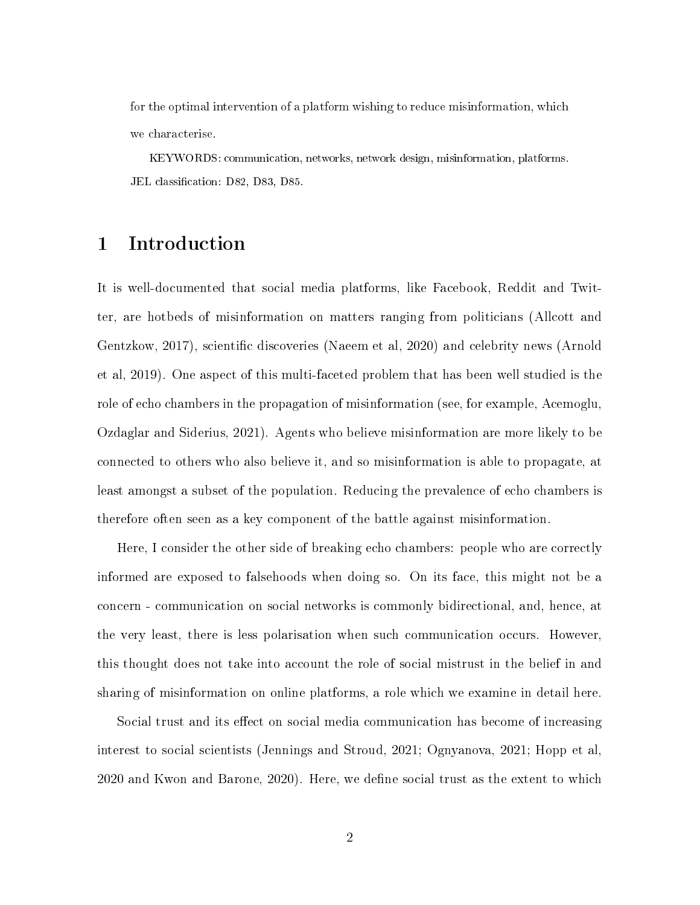for the optimal intervention of a platform wishing to reduce misinformation, which we characterise.

KEYWORDS: communication, networks, network design, misinformation, platforms. JEL classification: D82, D83, D85.

# 1 Introduction

It is well-documented that social media platforms, like Facebook, Reddit and Twitter, are hotbeds of misinformation on matters ranging from politicians (Allcott and Gentzkow, 2017), scientific discoveries (Naeem et al, 2020) and celebrity news (Arnold et al, 2019). One aspect of this multi-faceted problem that has been well studied is the role of echo chambers in the propagation of misinformation (see, for example, Acemoglu, Ozdaglar and Siderius, 2021). Agents who believe misinformation are more likely to be connected to others who also believe it, and so misinformation is able to propagate, at least amongst a subset of the population. Reducing the prevalence of echo chambers is therefore often seen as a key component of the battle against misinformation.

Here, I consider the other side of breaking echo chambers: people who are correctly informed are exposed to falsehoods when doing so. On its face, this might not be a concern - communication on social networks is commonly bidirectional, and, hence, at the very least, there is less polarisation when such communication occurs. However, this thought does not take into account the role of social mistrust in the belief in and sharing of misinformation on online platforms, a role which we examine in detail here.

Social trust and its effect on social media communication has become of increasing interest to social scientists (Jennings and Stroud, 2021; Ognyanova, 2021; Hopp et al, 2020 and Kwon and Barone, 2020). Here, we define social trust as the extent to which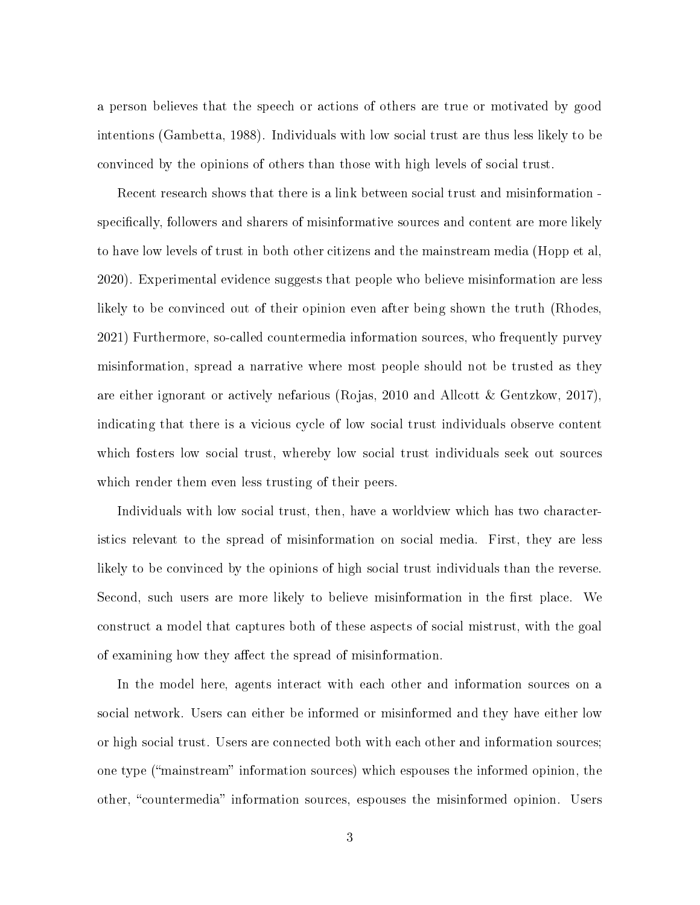a person believes that the speech or actions of others are true or motivated by good intentions (Gambetta, 1988). Individuals with low social trust are thus less likely to be convinced by the opinions of others than those with high levels of social trust.

Recent research shows that there is a link between social trust and misinformation specifically, followers and sharers of misinformative sources and content are more likely to have low levels of trust in both other citizens and the mainstream media (Hopp et al, 2020). Experimental evidence suggests that people who believe misinformation are less likely to be convinced out of their opinion even after being shown the truth (Rhodes, 2021) Furthermore, so-called countermedia information sources, who frequently purvey misinformation, spread a narrative where most people should not be trusted as they are either ignorant or actively nefarious (Rojas, 2010 and Allcott & Gentzkow, 2017), indicating that there is a vicious cycle of low social trust individuals observe content which fosters low social trust, whereby low social trust individuals seek out sources which render them even less trusting of their peers.

Individuals with low social trust, then, have a worldview which has two characteristics relevant to the spread of misinformation on social media. First, they are less likely to be convinced by the opinions of high social trust individuals than the reverse. Second, such users are more likely to believe misinformation in the first place. We construct a model that captures both of these aspects of social mistrust, with the goal of examining how they affect the spread of misinformation.

In the model here, agents interact with each other and information sources on a social network. Users can either be informed or misinformed and they have either low or high social trust. Users are connected both with each other and information sources; one type ("mainstream" information sources) which espouses the informed opinion, the other, "countermedia" information sources, espouses the misinformed opinion. Users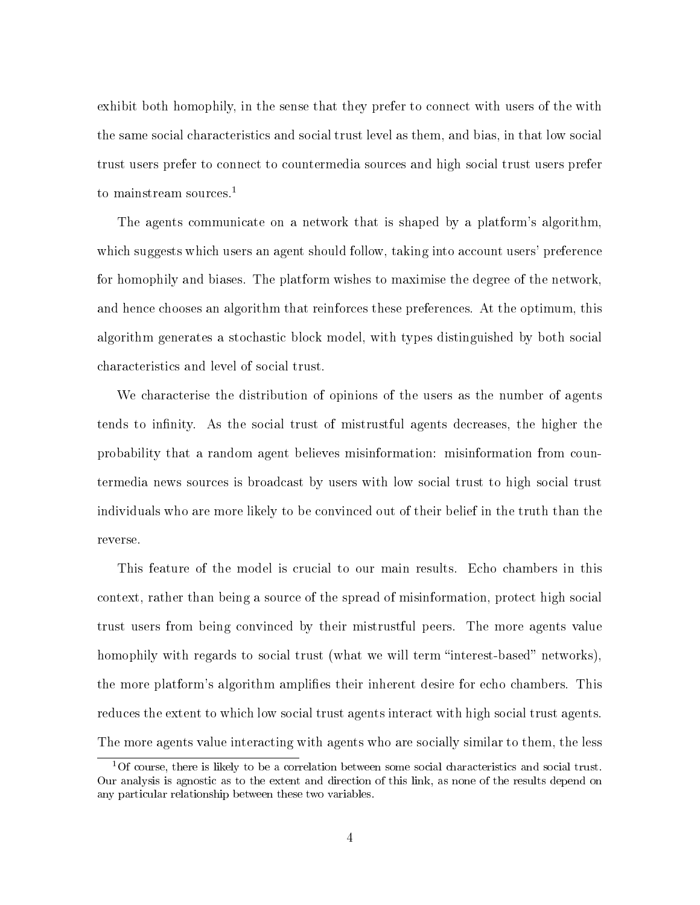exhibit both homophily, in the sense that they prefer to connect with users of the with the same social characteristics and social trust level as them, and bias, in that low social trust users prefer to connect to countermedia sources and high social trust users prefer to mainstream sources.<sup>1</sup>

The agents communicate on a network that is shaped by a platform's algorithm, which suggests which users an agent should follow, taking into account users' preference for homophily and biases. The platform wishes to maximise the degree of the network, and hence chooses an algorithm that reinforces these preferences. At the optimum, this algorithm generates a stochastic block model, with types distinguished by both social characteristics and level of social trust.

We characterise the distribution of opinions of the users as the number of agents tends to infinity. As the social trust of mistrustful agents decreases, the higher the probability that a random agent believes misinformation: misinformation from countermedia news sources is broadcast by users with low social trust to high social trust individuals who are more likely to be convinced out of their belief in the truth than the reverse.

This feature of the model is crucial to our main results. Echo chambers in this context, rather than being a source of the spread of misinformation, protect high social trust users from being convinced by their mistrustful peers. The more agents value homophily with regards to social trust (what we will term "interest-based" networks). the more platform's algorithm amplies their inherent desire for echo chambers. This reduces the extent to which low social trust agents interact with high social trust agents. The more agents value interacting with agents who are socially similar to them, the less

 $1$ Of course, there is likely to be a correlation between some social characteristics and social trust. Our analysis is agnostic as to the extent and direction of this link, as none of the results depend on any particular relationship between these two variables.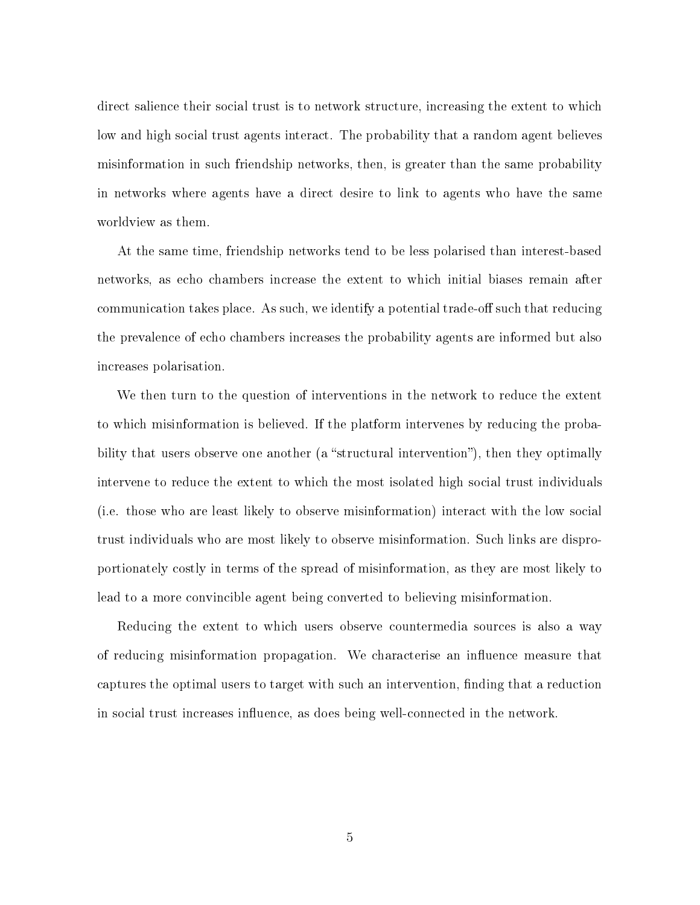direct salience their social trust is to network structure, increasing the extent to which low and high social trust agents interact. The probability that a random agent believes misinformation in such friendship networks, then, is greater than the same probability in networks where agents have a direct desire to link to agents who have the same worldview as them.

At the same time, friendship networks tend to be less polarised than interest-based networks, as echo chambers increase the extent to which initial biases remain after communication takes place. As such, we identify a potential trade-off such that reducing the prevalence of echo chambers increases the probability agents are informed but also increases polarisation.

We then turn to the question of interventions in the network to reduce the extent to which misinformation is believed. If the platform intervenes by reducing the probability that users observe one another (a "structural intervention"), then they optimally intervene to reduce the extent to which the most isolated high social trust individuals (i.e. those who are least likely to observe misinformation) interact with the low social trust individuals who are most likely to observe misinformation. Such links are disproportionately costly in terms of the spread of misinformation, as they are most likely to lead to a more convincible agent being converted to believing misinformation.

Reducing the extent to which users observe countermedia sources is also a way of reducing misinformation propagation. We characterise an influence measure that captures the optimal users to target with such an intervention, finding that a reduction in social trust increases influence, as does being well-connected in the network.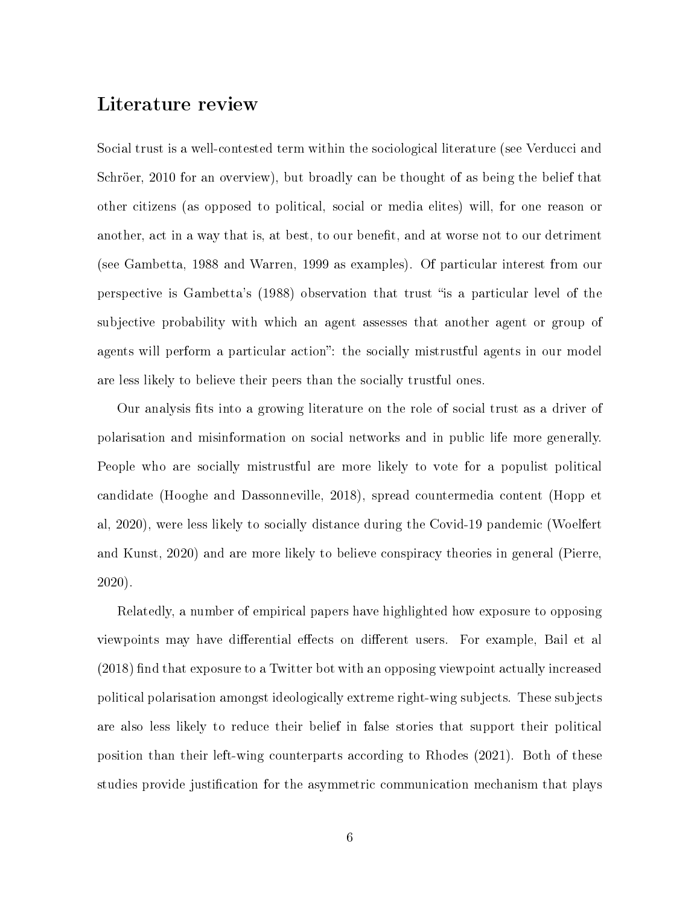# Literature review

Social trust is a well-contested term within the sociological literature (see Verducci and Schröer, 2010 for an overview), but broadly can be thought of as being the belief that other citizens (as opposed to political, social or media elites) will, for one reason or another, act in a way that is, at best, to our benefit, and at worse not to our detriment (see Gambetta, 1988 and Warren, 1999 as examples). Of particular interest from our perspective is Gambetta's (1988) observation that trust is a particular level of the subjective probability with which an agent assesses that another agent or group of agents will perform a particular action": the socially mistrustful agents in our model are less likely to believe their peers than the socially trustful ones.

Our analysis fits into a growing literature on the role of social trust as a driver of polarisation and misinformation on social networks and in public life more generally. People who are socially mistrustful are more likely to vote for a populist political candidate (Hooghe and Dassonneville, 2018), spread countermedia content (Hopp et al, 2020), were less likely to socially distance during the Covid-19 pandemic (Woelfert and Kunst, 2020) and are more likely to believe conspiracy theories in general (Pierre, 2020).

Relatedly, a number of empirical papers have highlighted how exposure to opposing viewpoints may have differential effects on different users. For example, Bail et al  $(2018)$  find that exposure to a Twitter bot with an opposing viewpoint actually increased political polarisation amongst ideologically extreme right-wing subjects. These subjects are also less likely to reduce their belief in false stories that support their political position than their left-wing counterparts according to Rhodes (2021). Both of these studies provide justification for the asymmetric communication mechanism that plays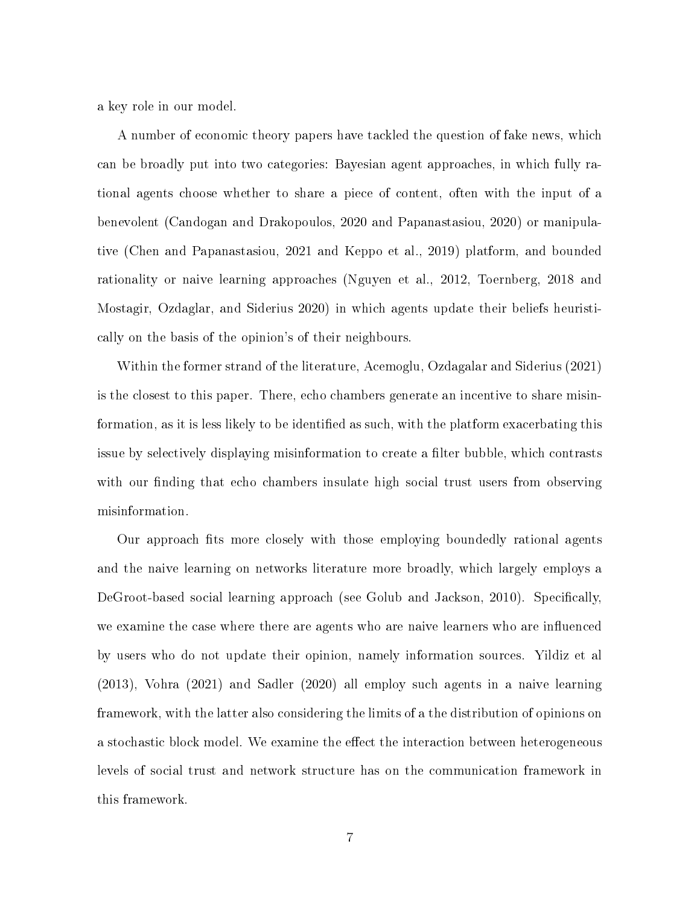a key role in our model.

A number of economic theory papers have tackled the question of fake news, which can be broadly put into two categories: Bayesian agent approaches, in which fully rational agents choose whether to share a piece of content, often with the input of a benevolent (Candogan and Drakopoulos, 2020 and Papanastasiou, 2020) or manipulative (Chen and Papanastasiou, 2021 and Keppo et al., 2019) platform, and bounded rationality or naive learning approaches (Nguyen et al., 2012, Toernberg, 2018 and Mostagir, Ozdaglar, and Siderius 2020) in which agents update their beliefs heuristically on the basis of the opinion's of their neighbours.

Within the former strand of the literature, Acemoglu, Ozdagalar and Siderius (2021) is the closest to this paper. There, echo chambers generate an incentive to share misinformation, as it is less likely to be identified as such, with the platform exacerbating this issue by selectively displaying misinformation to create a filter bubble, which contrasts with our finding that echo chambers insulate high social trust users from observing misinformation.

Our approach fits more closely with those employing boundedly rational agents and the naive learning on networks literature more broadly, which largely employs a DeGroot-based social learning approach (see Golub and Jackson, 2010). Specifically, we examine the case where there are agents who are naive learners who are influenced by users who do not update their opinion, namely information sources. Yildiz et al (2013), Vohra (2021) and Sadler (2020) all employ such agents in a naive learning framework, with the latter also considering the limits of a the distribution of opinions on a stochastic block model. We examine the effect the interaction between heterogeneous levels of social trust and network structure has on the communication framework in this framework.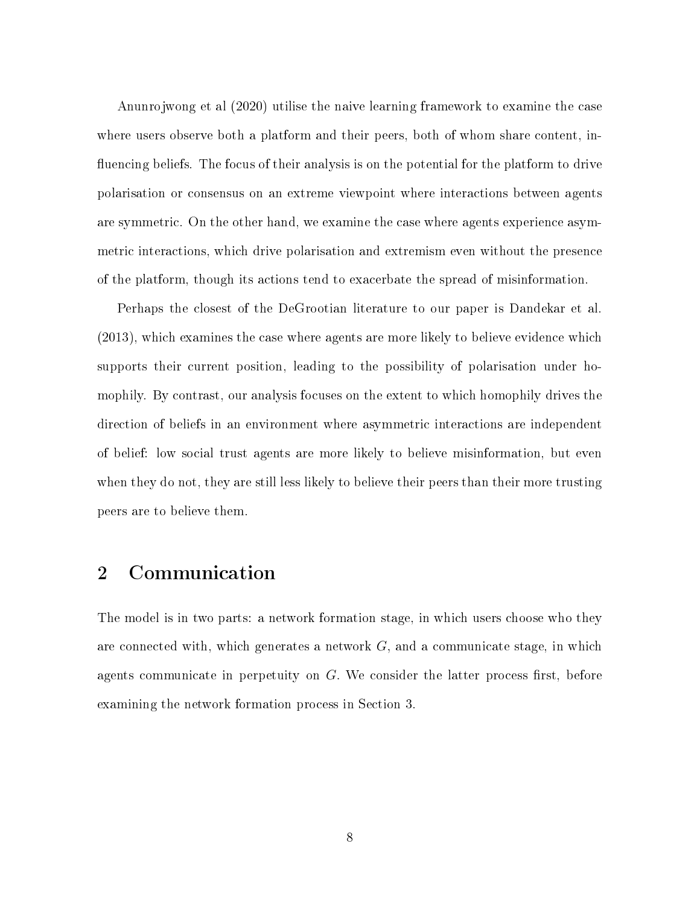Anunrojwong et al (2020) utilise the naive learning framework to examine the case where users observe both a platform and their peers, both of whom share content, in fluencing beliefs. The focus of their analysis is on the potential for the platform to drive polarisation or consensus on an extreme viewpoint where interactions between agents are symmetric. On the other hand, we examine the case where agents experience asymmetric interactions, which drive polarisation and extremism even without the presence of the platform, though its actions tend to exacerbate the spread of misinformation.

Perhaps the closest of the DeGrootian literature to our paper is Dandekar et al. (2013), which examines the case where agents are more likely to believe evidence which supports their current position, leading to the possibility of polarisation under homophily. By contrast, our analysis focuses on the extent to which homophily drives the direction of beliefs in an environment where asymmetric interactions are independent of belief: low social trust agents are more likely to believe misinformation, but even when they do not, they are still less likely to believe their peers than their more trusting peers are to believe them.

# 2 Communication

The model is in two parts: a network formation stage, in which users choose who they are connected with, which generates a network  $G$ , and a communicate stage, in which agents communicate in perpetuity on  $G$ . We consider the latter process first, before examining the network formation process in Section 3.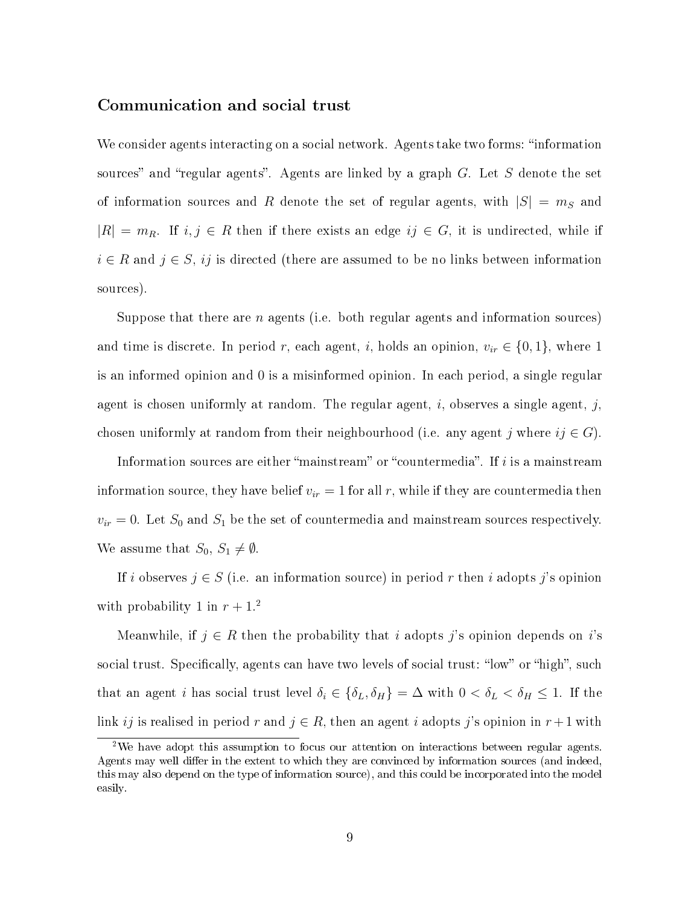#### Communication and social trust

We consider agents interacting on a social network. Agents take two forms: "information sources" and "regular agents". Agents are linked by a graph  $G$ . Let  $S$  denote the set of information sources and R denote the set of regular agents, with  $|S| = m_S$  and  $|R| = m_R$ . If  $i, j \in R$  then if there exists an edge  $ij \in G$ , it is undirected, while if  $i \in R$  and  $j \in S$ , ij is directed (there are assumed to be no links between information sources).

Suppose that there are  $n$  agents (i.e. both regular agents and information sources) and time is discrete. In period r, each agent, i, holds an opinion,  $v_{ir} \in \{0, 1\}$ , where 1 is an informed opinion and 0 is a misinformed opinion. In each period, a single regular agent is chosen uniformly at random. The regular agent, i, observes a single agent, j, chosen uniformly at random from their neighbourhood (i.e. any agent j where  $ij \in G$ ).

Information sources are either "mainstream" or "countermedia". If  $i$  is a mainstream information source, they have belief  $v_{ir} = 1$  for all r, while if they are countermedia then  $v_{ir} = 0$ . Let  $S_0$  and  $S_1$  be the set of countermedia and mainstream sources respectively. We assume that  $S_0, S_1 \neq \emptyset$ .

If i observes  $j \in S$  (i.e. an information source) in period r then i adopts j's opinion with probability 1 in  $r + 1$ <sup>2</sup>

Meanwhile, if  $j \in R$  then the probability that i adopts j's opinion depends on i's social trust. Specifically, agents can have two levels of social trust: "low" or "high", such that an agent *i* has social trust level  $\delta_i \in {\delta_L, \delta_H} = \Delta$  with  $0 < \delta_L < \delta_H \le 1$ . If the link ij is realised in period r and  $j \in R$ , then an agent i adopts j's opinion in  $r+1$  with

<sup>&</sup>lt;sup>2</sup>We have adopt this assumption to focus our attention on interactions between regular agents. Agents may well differ in the extent to which they are convinced by information sources (and indeed, this may also depend on the type of information source), and this could be incorporated into the model easily.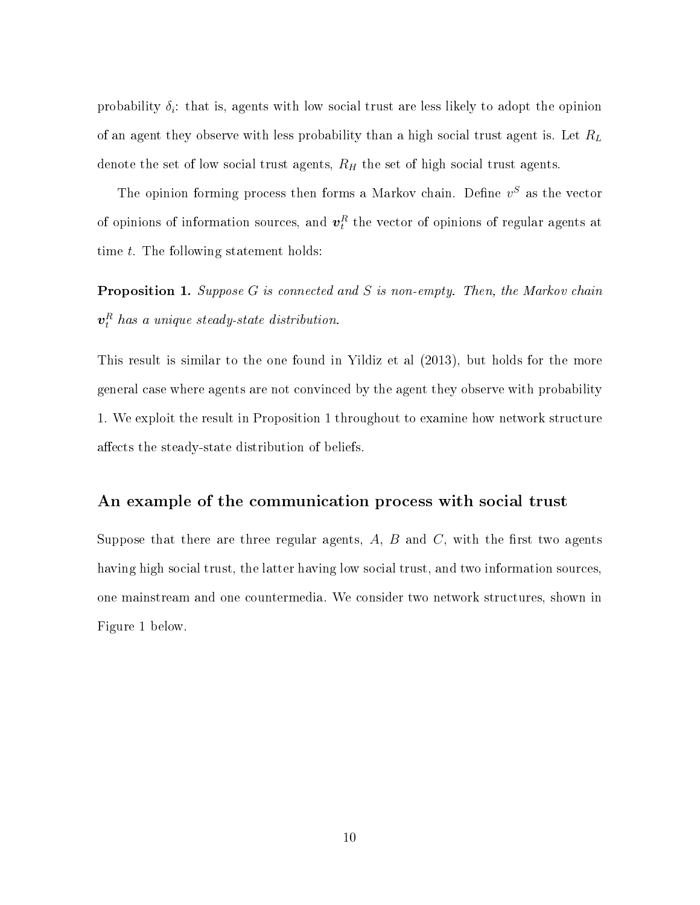probability  $\delta_i$ : that is, agents with low social trust are less likely to adopt the opinion of an agent they observe with less probability than a high social trust agent is. Let  $R_L$ denote the set of low social trust agents,  $R_H$  the set of high social trust agents.

The opinion forming process then forms a Markov chain. Define  $v^S$  as the vector of opinions of information sources, and  $\boldsymbol{v}_t^R$  the vector of opinions of regular agents at time t. The following statement holds:

Proposition 1. Suppose G is connected and S is non-empty. Then, the Markov chain  $\boldsymbol{v}^{R}_{t}$  has a unique steady-state distribution.

This result is similar to the one found in Yildiz et al (2013), but holds for the more general case where agents are not convinced by the agent they observe with probability 1. We exploit the result in Proposition 1 throughout to examine how network structure affects the steady-state distribution of beliefs.

#### An example of the communication process with social trust

Suppose that there are three regular agents,  $A, B$  and  $C$ , with the first two agents having high social trust, the latter having low social trust, and two information sources, one mainstream and one countermedia. We consider two network structures, shown in Figure 1 below.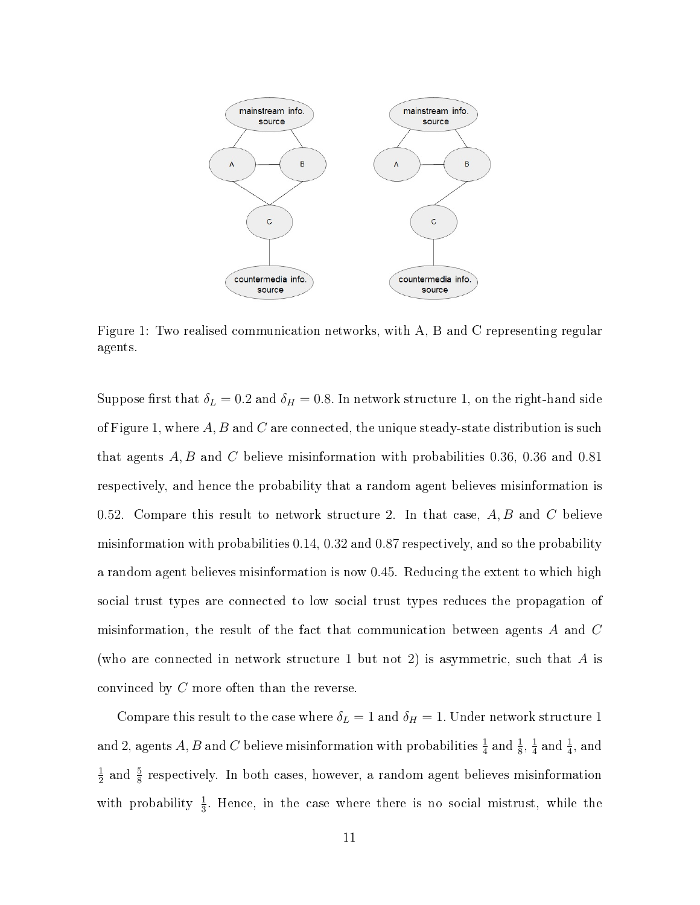

Figure 1: Two realised communication networks, with A, B and C representing regular agents.

Suppose first that  $\delta_L = 0.2$  and  $\delta_H = 0.8$ . In network structure 1, on the right-hand side of Figure 1, where  $A, B$  and  $C$  are connected, the unique steady-state distribution is such that agents A, B and C believe misinformation with probabilities 0.36, 0.36 and 0.81 respectively, and hence the probability that a random agent believes misinformation is 0.52. Compare this result to network structure 2. In that case,  $A, B$  and  $C$  believe misinformation with probabilities 0.14, 0.32 and 0.87 respectively, and so the probability a random agent believes misinformation is now 0.45. Reducing the extent to which high social trust types are connected to low social trust types reduces the propagation of misinformation, the result of the fact that communication between agents A and C (who are connected in network structure 1 but not 2) is asymmetric, such that  $A$  is convinced by C more often than the reverse.

Compare this result to the case where  $\delta_L=1$  and  $\delta_H=1$ . Under network structure 1 and 2, agents  $A, B$  and  $C$  believe misinformation with probabilities  $\frac{1}{4}$  and  $\frac{1}{8}, \frac{1}{4}$  $\frac{1}{4}$  and  $\frac{1}{4}$ , and 1  $\frac{1}{2}$  and  $\frac{5}{8}$  respectively. In both cases, however, a random agent believes misinformation with probability  $\frac{1}{3}$ . Hence, in the case where there is no social mistrust, while the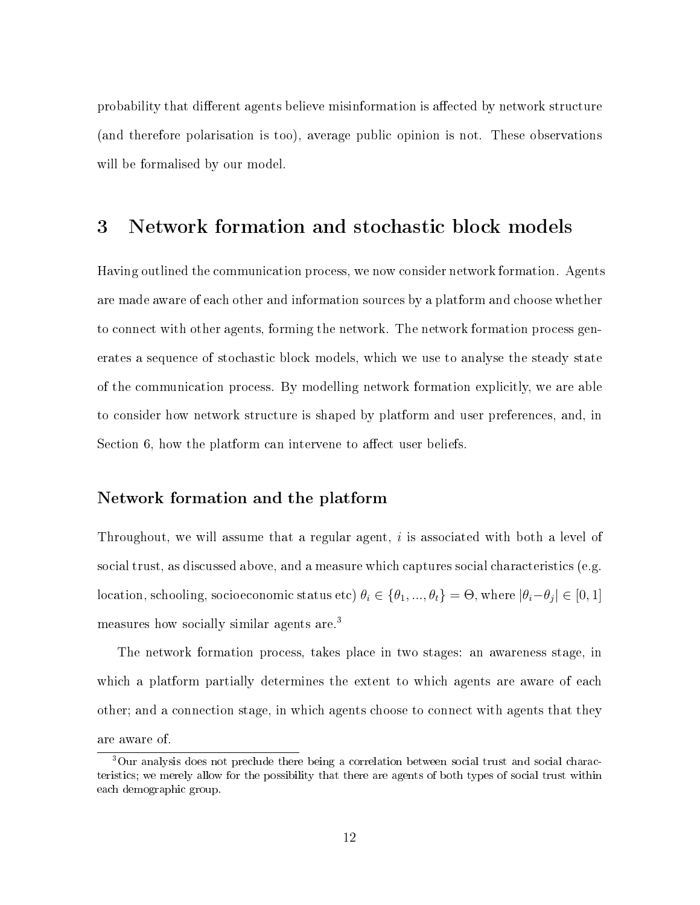probability that different agents believe misinformation is affected by network structure (and therefore polarisation is too), average public opinion is not. These observations will be formalised by our model.

## 3 Network formation and stochastic block models

Having outlined the communication process, we now consider network formation. Agents are made aware of each other and information sources by a platform and choose whether to connect with other agents, forming the network. The network formation process generates a sequence of stochastic block models, which we use to analyse the steady state of the communication process. By modelling network formation explicitly, we are able to consider how network structure is shaped by platform and user preferences, and, in Section 6, how the platform can intervene to affect user beliefs.

#### Network formation and the platform

Throughout, we will assume that a regular agent, i is associated with both a level of social trust, as discussed above, and a measure which captures social characteristics (e.g. location, schooling, socioeconomic status etc)  $\theta_i \in \{\theta_1, ..., \theta_t\} = \Theta$ , where  $|\theta_i - \theta_j| \in [0, 1]$ measures how socially similar agents are.<sup>3</sup>

The network formation process, takes place in two stages: an awareness stage, in which a platform partially determines the extent to which agents are aware of each other; and a connection stage, in which agents choose to connect with agents that they are aware of.

<sup>3</sup>Our analysis does not preclude there being a correlation between social trust and social characteristics; we merely allow for the possibility that there are agents of both types of social trust within each demographic group.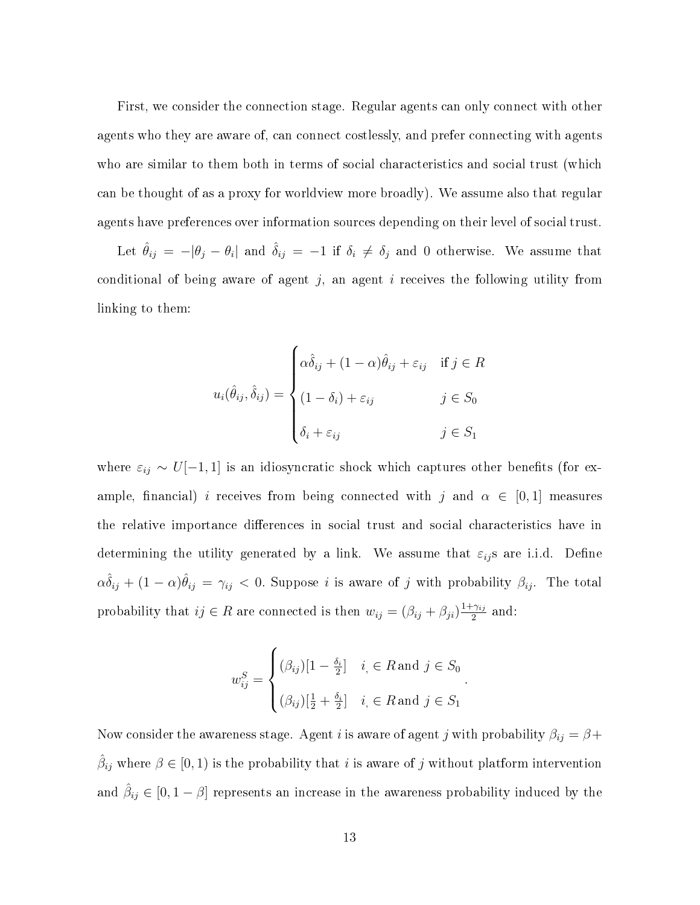First, we consider the connection stage. Regular agents can only connect with other agents who they are aware of, can connect costlessly, and prefer connecting with agents who are similar to them both in terms of social characteristics and social trust (which can be thought of as a proxy for worldview more broadly). We assume also that regular agents have preferences over information sources depending on their level of social trust.

Let  $\hat{\theta}_{ij} = -|\theta_j - \theta_i|$  and  $\hat{\delta}_{ij} = -1$  if  $\delta_i \neq \delta_j$  and 0 otherwise. We assume that conditional of being aware of agent  $j$ , an agent  $i$  receives the following utility from linking to them:

$$
u_i(\hat{\theta}_{ij}, \hat{\delta}_{ij}) = \begin{cases} \alpha \hat{\delta}_{ij} + (1 - \alpha)\hat{\theta}_{ij} + \varepsilon_{ij} & \text{if } j \in R \\ (1 - \delta_i) + \varepsilon_{ij} & j \in S_0 \\ \delta_i + \varepsilon_{ij} & j \in S_1 \end{cases}
$$

where  $\varepsilon_{ij} \sim U[-1,1]$  is an idiosyncratic shock which captures other benefits (for example, financial) i receives from being connected with j and  $\alpha \in [0,1]$  measures the relative importance differences in social trust and social characteristics have in determining the utility generated by a link. We assume that  $\varepsilon_{ij}$ s are i.i.d. Define  $\alpha\hat{\delta}_{ij}+(1-\alpha)\hat{\theta}_{ij}=\gamma_{ij}< 0.$  Suppose i is aware of j with probability  $\beta_{ij}$ . The total probability that  $ij \in R$  are connected is then  $w_{ij} = (\beta_{ij} + \beta_{ji})\frac{1 + \gamma_{ij}}{2}$  $\frac{\gamma_{ij}}{2}$  and:

$$
w_{ij}^{S} = \begin{cases} (\beta_{ij})[1 - \frac{\delta_i}{2}] & i \in R \text{ and } j \in S_0 \\ (\beta_{ij})[\frac{1}{2} + \frac{\delta_i}{2}] & i \in R \text{ and } j \in S_1 \end{cases}
$$

.

Now consider the awareness stage. Agent *i* is aware of agent *j* with probability  $\beta_{ij} = \beta +$  $\hat{\beta}_{ij}$  where  $\beta \in [0,1)$  is the probability that i is aware of j without platform intervention and  $\hat{\beta}_{ij} \in [0, 1-\beta]$  represents an increase in the awareness probability induced by the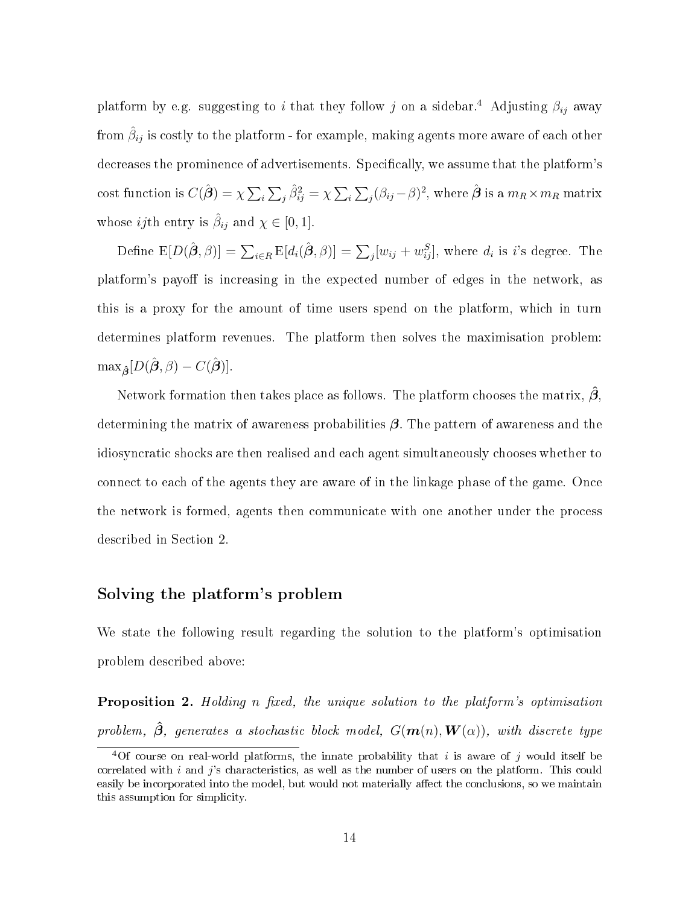platform by e.g. suggesting to i that they follow j on a sidebar.<sup>4</sup> Adjusting  $\beta_{ij}$  away from  $\hat{\beta}_{ij}$  is costly to the platform - for example, making agents more aware of each other decreases the prominence of advertisements. Specifically, we assume that the platform's cost function is  $C(\hat{\bm{\beta}})=\chi\sum_i\sum_j\hat{\beta}_{ij}^2=\chi\sum_i\sum_j(\beta_{ij}-\beta)^2,$  where  $\hat{\bm{\beta}}$  is a  $m_R\times m_R$  matrix whose *ij*th entry is  $\hat{\beta}_{ij}$  and  $\chi \in [0, 1]$ .

Define  $\mathbb{E}[D(\hat{\boldsymbol{\beta}},\beta)] = \sum_{i\in R} \mathbb{E}[d_i(\hat{\boldsymbol{\beta}},\beta)] = \sum_j [w_{ij}+w_{ij}^S],$  where  $d_i$  is  $i$ 's degree. The platform's payoff is increasing in the expected number of edges in the network, as this is a proxy for the amount of time users spend on the platform, which in turn determines platform revenues. The platform then solves the maximisation problem:  $\max_{\hat{\boldsymbol{\beta}}}[D(\hat{\boldsymbol{\beta}}, \beta) - C(\hat{\boldsymbol{\beta}})]$ 

Network formation then takes place as follows. The platform chooses the matrix,  $\hat{\beta}$ . determining the matrix of awareness probabilities  $\beta$ . The pattern of awareness and the idiosyncratic shocks are then realised and each agent simultaneously chooses whether to connect to each of the agents they are aware of in the linkage phase of the game. Once the network is formed, agents then communicate with one another under the process described in Section 2.

#### Solving the platform's problem

We state the following result regarding the solution to the platform's optimisation problem described above:

**Proposition 2.** Holding n fixed, the unique solution to the platform's optimisation problem,  $\hat{\boldsymbol{\beta}}$ , generates a stochastic block model,  $G(\boldsymbol{m}(n), \boldsymbol{W}(\alpha))$ , with discrete type

<sup>&</sup>lt;sup>4</sup>Of course on real-world platforms, the innate probability that i is aware of j would itself be correlated with  $i$  and  $j$ 's characteristics, as well as the number of users on the platform. This could easily be incorporated into the model, but would not materially affect the conclusions, so we maintain this assumption for simplicity.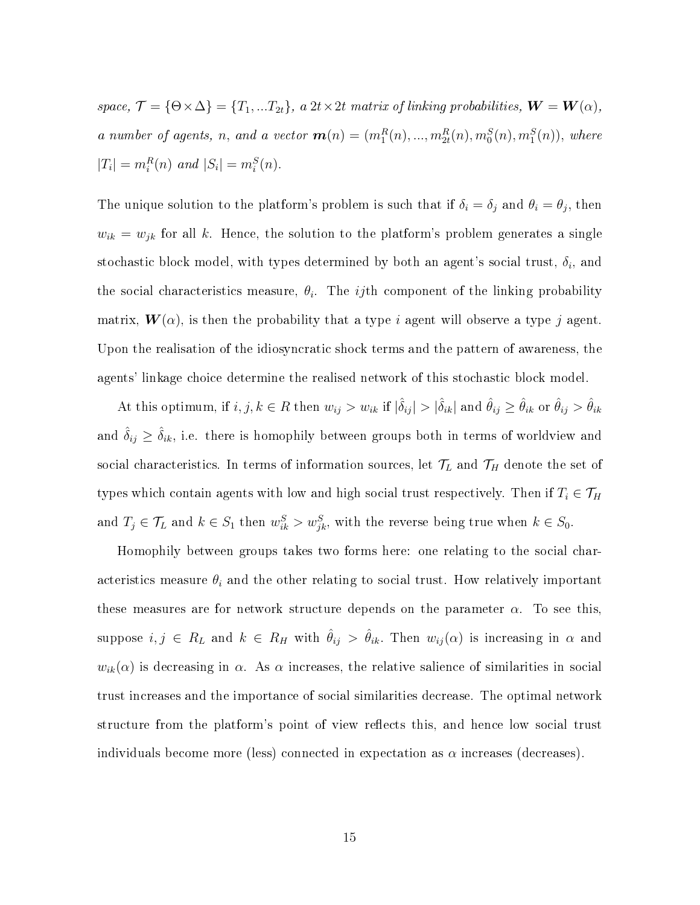space,  $\mathcal{T} = \{\Theta \times \Delta\} = \{T_1, ... T_{2t}\}, a \; 2t \times 2t \; matrix \; of \; linking \; probabilities, \; \mathbf{W} = \mathbf{W}(\alpha),$ a number of agents, n, and a vector  $\mathbf{m}(n) = (m_1^R(n), ..., m_{2t}^R(n), m_0^S(n), m_1^S(n))$ , where  $|T_i| = m_i^R(n)$  and  $|S_i| = m_i^S(n)$ .

The unique solution to the platform's problem is such that if  $\delta_i = \delta_j$  and  $\theta_i = \theta_j$ , then  $w_{ik} = w_{jk}$  for all k. Hence, the solution to the platform's problem generates a single stochastic block model, with types determined by both an agent's social trust,  $\delta_i$ , and the social characteristics measure,  $\theta_i$ . The *ij*th component of the linking probability matrix,  $W(\alpha)$ , is then the probability that a type i agent will observe a type j agent. Upon the realisation of the idiosyncratic shock terms and the pattern of awareness, the agents' linkage choice determine the realised network of this stochastic block model.

At this optimum, if  $i, j, k \in R$  then  $w_{ij} > w_{ik}$  if  $|\hat{\delta}_{ij}| > |\hat{\delta}_{ik}|$  and  $\hat{\theta}_{ij} \ge \hat{\theta}_{ik}$  or  $\hat{\theta}_{ij} > \hat{\theta}_{ik}$ and  $\hat{\delta}_{ij} \geq \hat{\delta}_{ik}$ , i.e. there is homophily between groups both in terms of worldview and social characteristics. In terms of information sources, let  $\mathcal{T}_L$  and  $\mathcal{T}_H$  denote the set of types which contain agents with low and high social trust respectively. Then if  $T_i \in \mathcal{T}_H$ and  $T_j \in \mathcal{T}_L$  and  $k \in S_1$  then  $w_{ik}^S > w_{jk}^S$ , with the reverse being true when  $k \in S_0$ .

Homophily between groups takes two forms here: one relating to the social characteristics measure  $\theta_i$  and the other relating to social trust. How relatively important these measures are for network structure depends on the parameter  $\alpha$ . To see this, suppose  $i, j \in R_L$  and  $k \in R_H$  with  $\hat{\theta}_{ij} > \hat{\theta}_{ik}$ . Then  $w_{ij}(\alpha)$  is increasing in  $\alpha$  and  $w_{ik}(\alpha)$  is decreasing in  $\alpha$ . As  $\alpha$  increases, the relative salience of similarities in social trust increases and the importance of social similarities decrease. The optimal network structure from the platform's point of view reflects this, and hence low social trust individuals become more (less) connected in expectation as  $\alpha$  increases (decreases).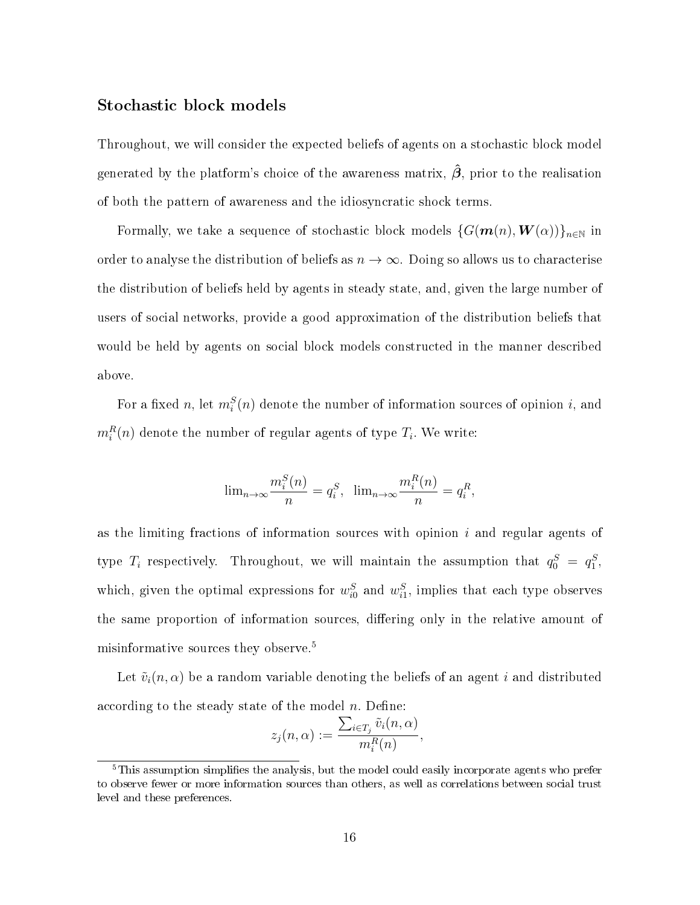#### Stochastic block models

Throughout, we will consider the expected beliefs of agents on a stochastic block model generated by the platform's choice of the awareness matrix,  $\hat{\beta}$ , prior to the realisation of both the pattern of awareness and the idiosyncratic shock terms.

Formally, we take a sequence of stochastic block models  $\{G(m(n), W(\alpha))\}_{n\in\mathbb{N}}$  in order to analyse the distribution of beliefs as  $n \to \infty$ . Doing so allows us to characterise the distribution of beliefs held by agents in steady state, and, given the large number of users of social networks, provide a good approximation of the distribution beliefs that would be held by agents on social block models constructed in the manner described above.

For a fixed n, let  $m_i^S(n)$  denote the number of information sources of opinion i, and  $m_i^R(n)$  denote the number of regular agents of type  $T_i$ . We write:

$$
\lim_{n \to \infty} \frac{m_i^S(n)}{n} = q_i^S, \quad \lim_{n \to \infty} \frac{m_i^R(n)}{n} = q_i^R,
$$

as the limiting fractions of information sources with opinion  $i$  and regular agents of type  $T_i$  respectively. Throughout, we will maintain the assumption that  $q_0^S = q_1^S$ , which, given the optimal expressions for  $w_{i0}^S$  and  $w_{i1}^S$ , implies that each type observes the same proportion of information sources, differing only in the relative amount of misinformative sources they observe.<sup>5</sup>

Let  $\tilde{v}_i(n, \alpha)$  be a random variable denoting the beliefs of an agent i and distributed according to the steady state of the model  $n$ . Define:

$$
z_j(n,\alpha) := \frac{\sum_{i \in T_j} \tilde{v}_i(n,\alpha)}{m_i^R(n)},
$$

 $5$ This assumption simplifies the analysis, but the model could easily incorporate agents who prefer to observe fewer or more information sources than others, as well as correlations between social trust level and these preferences.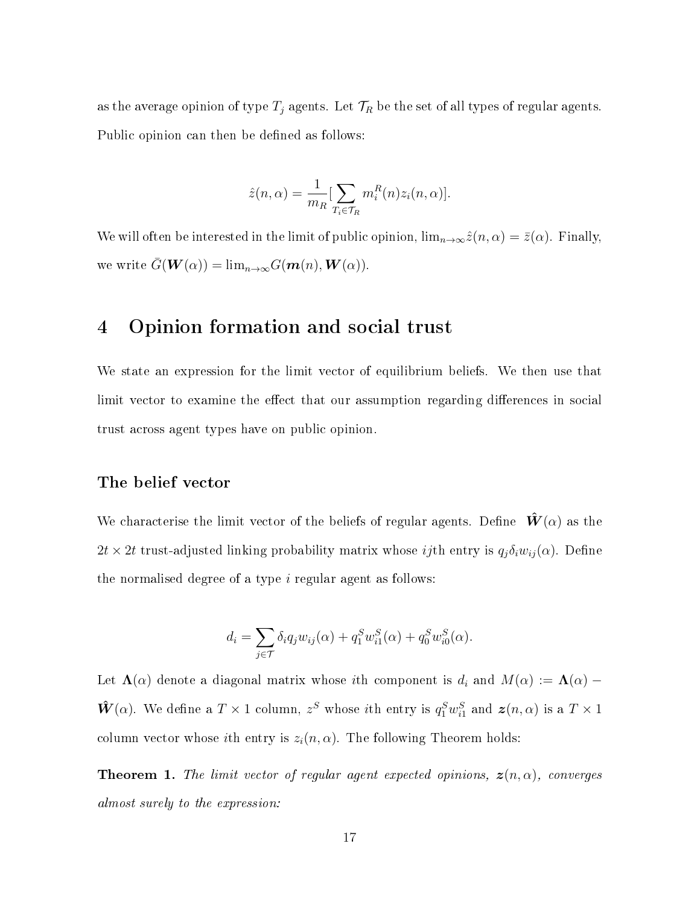as the average opinion of type  $T_j$  agents. Let  $\mathcal{T}_R$  be the set of all types of regular agents. Public opinion can then be defined as follows:

$$
\hat{z}(n,\alpha) = \frac{1}{m_R} \left[ \sum_{T_i \in \mathcal{T}_R} m_i^R(n) z_i(n,\alpha) \right].
$$

We will often be interested in the limit of public opinion,  $\lim_{n\to\infty}\hat{z}(n,\alpha)=\bar{z}(\alpha)$ . Finally, we write  $G(\mathbf{W}(\alpha)) = \lim_{n\to\infty} G(\mathbf{m}(n),\mathbf{W}(\alpha)).$ 

## 4 Opinion formation and social trust

We state an expression for the limit vector of equilibrium beliefs. We then use that limit vector to examine the effect that our assumption regarding differences in social trust across agent types have on public opinion.

#### The belief vector

We characterise the limit vector of the beliefs of regular agents. Define  $\hat{W}(\alpha)$  as the  $2t \times 2t$  trust-adjusted linking probability matrix whose *ij*th entry is  $q_j \delta_i w_{ij}(\alpha)$ . Define the normalised degree of a type i regular agent as follows:

$$
d_i = \sum_{j \in \mathcal{T}} \delta_i q_j w_{ij}(\alpha) + q_1^S w_{i1}^S(\alpha) + q_0^S w_{i0}^S(\alpha).
$$

Let  $\Lambda(\alpha)$  denote a diagonal matrix whose ith component is  $d_i$  and  $M(\alpha) := \Lambda(\alpha)$  –  $\hat{W}(\alpha)$ . We define a  $T \times 1$  column,  $z^S$  whose *i*th entry is  $q_1^S w_{i1}^S$  and  $\boldsymbol{z}(n, \alpha)$  is a  $T \times 1$ column vector whose *i*th entry is  $z_i(n, \alpha)$ . The following Theorem holds:

**Theorem 1.** The limit vector of regular agent expected opinions,  $z(n, \alpha)$ , converges almost surely to the expression: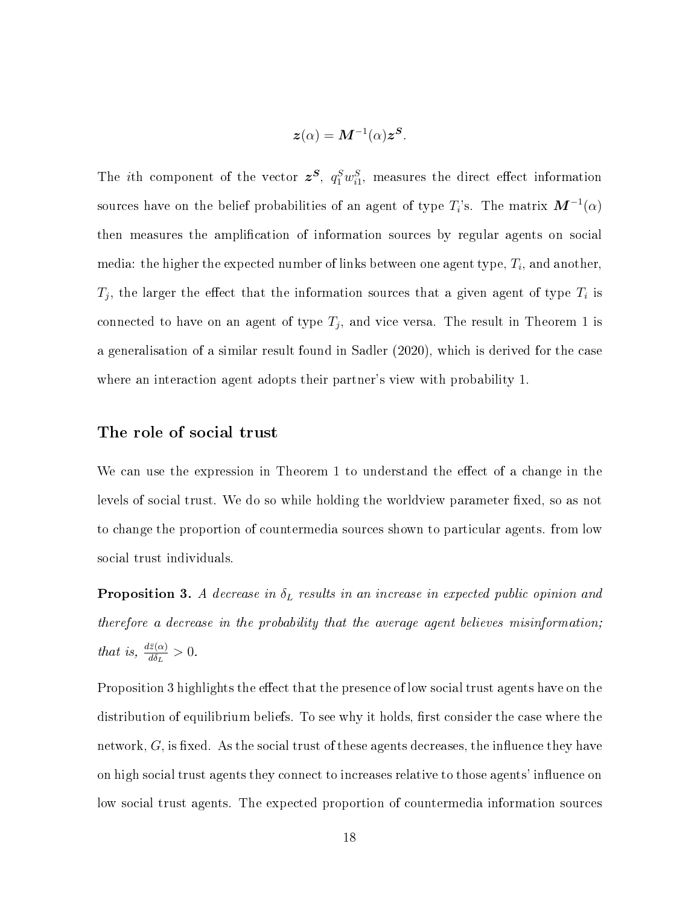$$
\boldsymbol{z}(\alpha) = \boldsymbol{M}^{-1}(\alpha) \boldsymbol{z}^{\boldsymbol{S}}.
$$

The *i*th component of the vector  $z^S$ ,  $q_1^S w_{i1}^S$ , measures the direct effect information sources have on the belief probabilities of an agent of type  $T_i$ 's. The matrix  $\boldsymbol{M}^{-1}(\alpha)$ then measures the amplication of information sources by regular agents on social media: the higher the expected number of links between one agent type,  $T_i,$  and another,  $T_j$ , the larger the effect that the information sources that a given agent of type  $T_i$  is connected to have on an agent of type  $T_j$ , and vice versa. The result in Theorem 1 is a generalisation of a similar result found in Sadler (2020), which is derived for the case where an interaction agent adopts their partner's view with probability 1.

#### The role of social trust

We can use the expression in Theorem 1 to understand the effect of a change in the levels of social trust. We do so while holding the worldview parameter fixed, so as not to change the proportion of countermedia sources shown to particular agents. from low social trust individuals.

**Proposition 3.** A decrease in  $\delta_L$  results in an increase in expected public opinion and therefore a decrease in the probability that the average agent believes misinformation; that is,  $\frac{d\bar{z}(\alpha)}{d\delta_L} > 0$ .

Proposition 3 highlights the effect that the presence of low social trust agents have on the distribution of equilibrium beliefs. To see why it holds, first consider the case where the network,  $G$ , is fixed. As the social trust of these agents decreases, the influence they have on high social trust agents they connect to increases relative to those agents' influence on low social trust agents. The expected proportion of countermedia information sources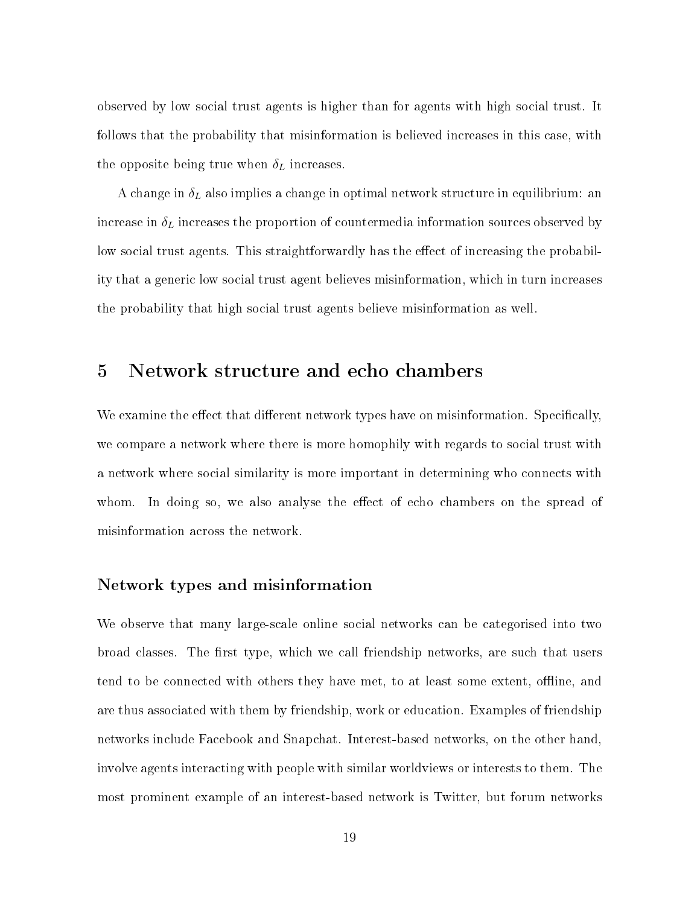observed by low social trust agents is higher than for agents with high social trust. It follows that the probability that misinformation is believed increases in this case, with the opposite being true when  $\delta_L$  increases.

A change in  $\delta_L$  also implies a change in optimal network structure in equilibrium: an increase in  $\delta_L$  increases the proportion of countermedia information sources observed by low social trust agents. This straightforwardly has the effect of increasing the probability that a generic low social trust agent believes misinformation, which in turn increases the probability that high social trust agents believe misinformation as well.

### 5 Network structure and echo chambers

We examine the effect that different network types have on misinformation. Specifically, we compare a network where there is more homophily with regards to social trust with a network where social similarity is more important in determining who connects with whom. In doing so, we also analyse the effect of echo chambers on the spread of misinformation across the network.

#### Network types and misinformation

We observe that many large-scale online social networks can be categorised into two broad classes. The first type, which we call friendship networks, are such that users tend to be connected with others they have met, to at least some extent, offline, and are thus associated with them by friendship, work or education. Examples of friendship networks include Facebook and Snapchat. Interest-based networks, on the other hand, involve agents interacting with people with similar worldviews or interests to them. The most prominent example of an interest-based network is Twitter, but forum networks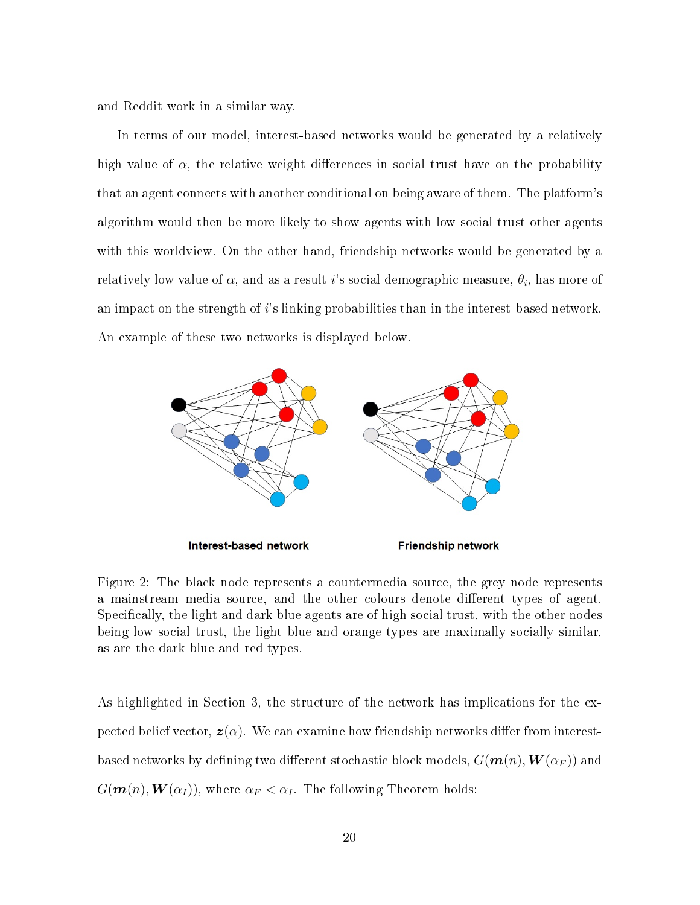and Reddit work in a similar way.

In terms of our model, interest-based networks would be generated by a relatively high value of  $\alpha$ , the relative weight differences in social trust have on the probability that an agent connects with another conditional on being aware of them. The platform's algorithm would then be more likely to show agents with low social trust other agents with this worldview. On the other hand, friendship networks would be generated by a relatively low value of  $\alpha,$  and as a result  $i$ 's social demographic measure,  $\theta_i,$  has more of an impact on the strength of  $i$ 's linking probabilities than in the interest-based network. An example of these two networks is displayed below.



Figure 2: The black node represents a countermedia source, the grey node represents a mainstream media source, and the other colours denote different types of agent. Specifically, the light and dark blue agents are of high social trust, with the other nodes being low social trust, the light blue and orange types are maximally socially similar, as are the dark blue and red types.

As highlighted in Section 3, the structure of the network has implications for the expected belief vector,  $z(\alpha)$ . We can examine how friendship networks differ from interestbased networks by defining two different stochastic block models,  $G(\mathbf{m}(n),\mathbf{W}(\alpha_F))$  and  $G(\mathbf{m}(n),\mathbf{W}(\alpha_I))$ , where  $\alpha_F < \alpha_I$ . The following Theorem holds: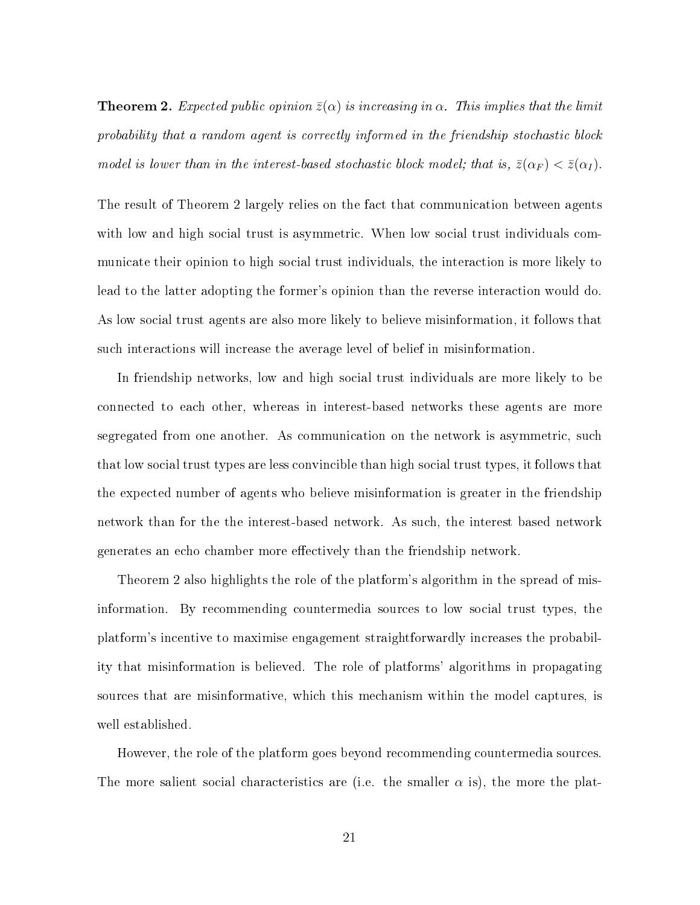**Theorem 2.** Expected public opinion  $\bar{z}(\alpha)$  is increasing in  $\alpha$ . This implies that the limit probability that a random agent is correctly informed in the friendship stochastic block model is lower than in the interest-based stochastic block model; that is,  $\bar{z}(\alpha_F) < \bar{z}(\alpha_I)$ .

The result of Theorem 2 largely relies on the fact that communication between agents with low and high social trust is asymmetric. When low social trust individuals communicate their opinion to high social trust individuals, the interaction is more likely to lead to the latter adopting the former's opinion than the reverse interaction would do. As low social trust agents are also more likely to believe misinformation, it follows that such interactions will increase the average level of belief in misinformation.

In friendship networks, low and high social trust individuals are more likely to be connected to each other, whereas in interest-based networks these agents are more segregated from one another. As communication on the network is asymmetric, such that low social trust types are less convincible than high social trust types, it follows that the expected number of agents who believe misinformation is greater in the friendship network than for the the interest-based network. As such, the interest based network generates an echo chamber more effectively than the friendship network.

Theorem 2 also highlights the role of the platform's algorithm in the spread of misinformation. By recommending countermedia sources to low social trust types, the platform's incentive to maximise engagement straightforwardly increases the probability that misinformation is believed. The role of platforms' algorithms in propagating sources that are misinformative, which this mechanism within the model captures, is well established.

However, the role of the platform goes beyond recommending countermedia sources. The more salient social characteristics are (i.e. the smaller  $\alpha$  is), the more the plat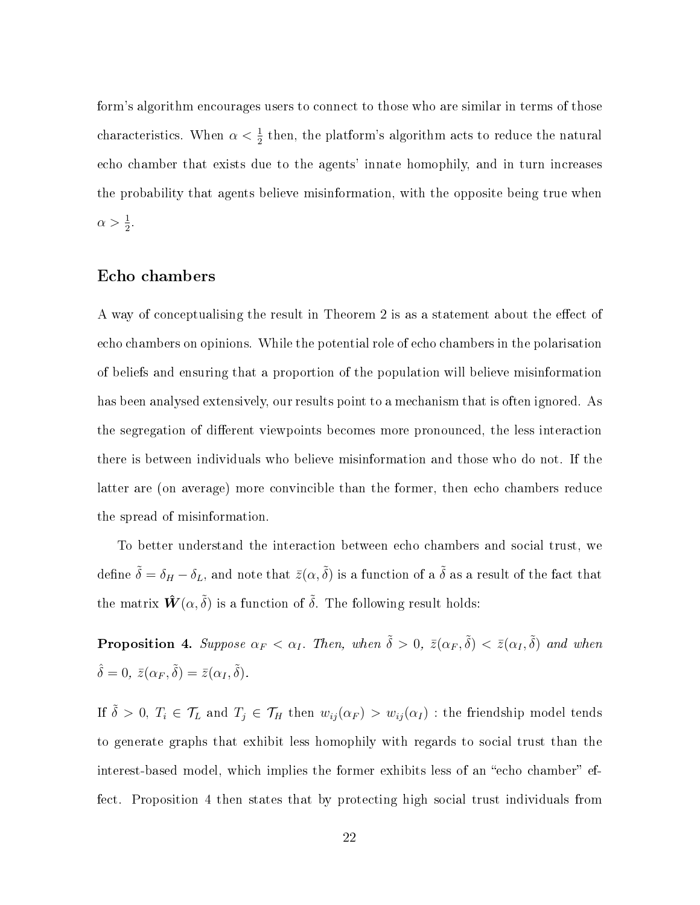form's algorithm encourages users to connect to those who are similar in terms of those characteristics. When  $\alpha < \frac{1}{2}$  then, the platform's algorithm acts to reduce the natural echo chamber that exists due to the agents' innate homophily, and in turn increases the probability that agents believe misinformation, with the opposite being true when  $\alpha > \frac{1}{2}$ .

#### Echo chambers

A way of conceptualising the result in Theorem 2 is as a statement about the effect of echo chambers on opinions. While the potential role of echo chambers in the polarisation of beliefs and ensuring that a proportion of the population will believe misinformation has been analysed extensively, our results point to a mechanism that is often ignored. As the segregation of different viewpoints becomes more pronounced, the less interaction there is between individuals who believe misinformation and those who do not. If the latter are (on average) more convincible than the former, then echo chambers reduce the spread of misinformation.

To better understand the interaction between echo chambers and social trust, we define  $\tilde{\delta} = \delta_H - \delta_L$ , and note that  $\bar{z}(\alpha, \tilde{\delta})$  is a function of a  $\tilde{\delta}$  as a result of the fact that the matrix  $\hat{\mathbf{W}}(\alpha, \tilde{\delta})$  is a function of  $\tilde{\delta}$ . The following result holds:

**Proposition 4.** Suppose  $\alpha_F < \alpha_I$ . Then, when  $\tilde{\delta} > 0$ ,  $\bar{z}(\alpha_F, \tilde{\delta}) < \bar{z}(\alpha_I, \tilde{\delta})$  and when  $\hat{\delta} = 0, \ \bar{z}(\alpha_F, \tilde{\delta}) = \bar{z}(\alpha_I, \tilde{\delta}).$ 

If  $\tilde{\delta} > 0$ ,  $T_i \in \mathcal{T}_L$  and  $T_j \in \mathcal{T}_H$  then  $w_{ij}(\alpha_F) > w_{ij}(\alpha_I)$  : the friendship model tends to generate graphs that exhibit less homophily with regards to social trust than the interest-based model, which implies the former exhibits less of an "echo chamber" effect. Proposition 4 then states that by protecting high social trust individuals from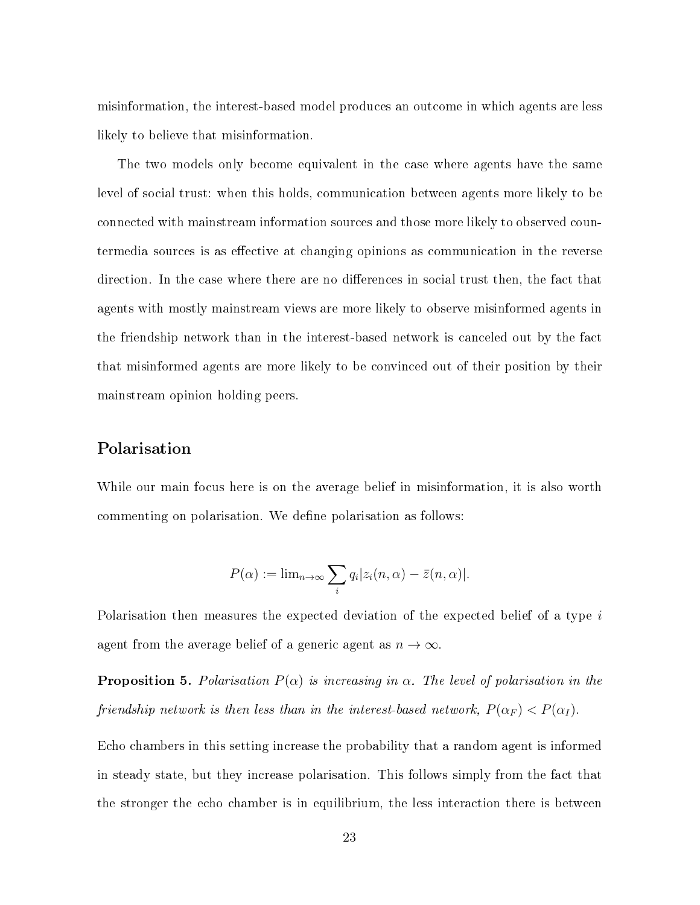misinformation, the interest-based model produces an outcome in which agents are less likely to believe that misinformation.

The two models only become equivalent in the case where agents have the same level of social trust: when this holds, communication between agents more likely to be connected with mainstream information sources and those more likely to observed countermedia sources is as effective at changing opinions as communication in the reverse direction. In the case where there are no differences in social trust then, the fact that agents with mostly mainstream views are more likely to observe misinformed agents in the friendship network than in the interest-based network is canceled out by the fact that misinformed agents are more likely to be convinced out of their position by their mainstream opinion holding peers.

#### Polarisation

While our main focus here is on the average belief in misinformation, it is also worth commenting on polarisation. We define polarisation as follows:

$$
P(\alpha) := \lim_{n \to \infty} \sum_{i} q_i |z_i(n, \alpha) - \bar{z}(n, \alpha)|.
$$

Polarisation then measures the expected deviation of the expected belief of a type i agent from the average belief of a generic agent as  $n \to \infty$ .

**Proposition 5.** Polarisation  $P(\alpha)$  is increasing in  $\alpha$ . The level of polarisation in the friendship network is then less than in the interest-based network,  $P(\alpha_F) < P(\alpha_I)$ .

Echo chambers in this setting increase the probability that a random agent is informed in steady state, but they increase polarisation. This follows simply from the fact that the stronger the echo chamber is in equilibrium, the less interaction there is between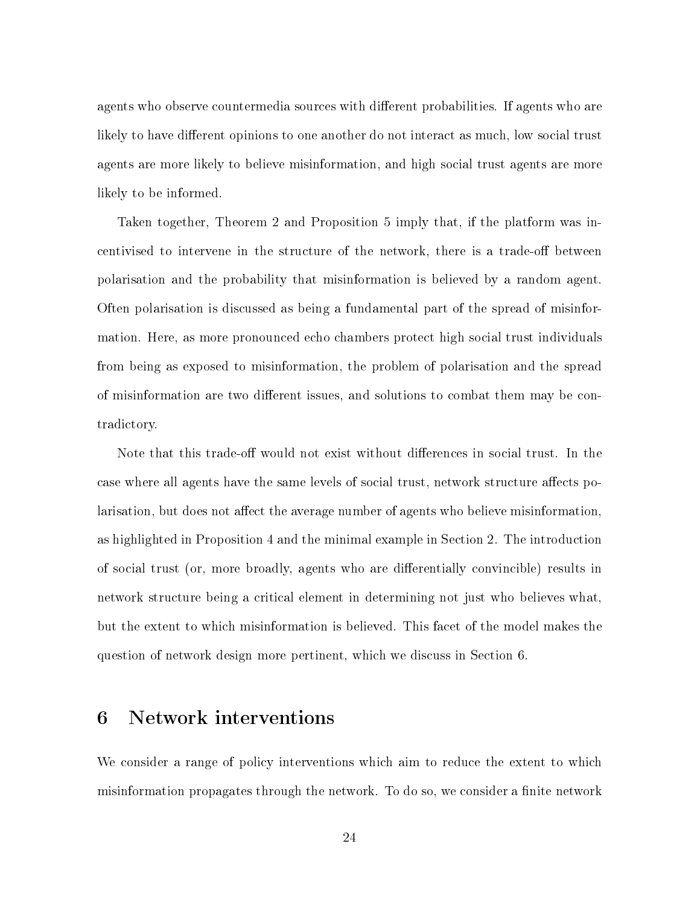agents who observe countermedia sources with different probabilities. If agents who are likely to have different opinions to one another do not interact as much, low social trust agents are more likely to believe misinformation, and high social trust agents are more likely to be informed.

Taken together, Theorem 2 and Proposition 5 imply that, if the platform was incentivised to intervene in the structure of the network, there is a trade-off between polarisation and the probability that misinformation is believed by a random agent. Often polarisation is discussed as being a fundamental part of the spread of misinformation. Here, as more pronounced echo chambers protect high social trust individuals from being as exposed to misinformation, the problem of polarisation and the spread of misinformation are two different issues, and solutions to combat them may be contradictory.

Note that this trade-off would not exist without differences in social trust. In the case where all agents have the same levels of social trust, network structure affects polarisation, but does not affect the average number of agents who believe misinformation. as highlighted in Proposition 4 and the minimal example in Section 2. The introduction of social trust (or, more broadly, agents who are differentially convincible) results in network structure being a critical element in determining not just who believes what, but the extent to which misinformation is believed. This facet of the model makes the question of network design more pertinent, which we discuss in Section 6.

# 6 Network interventions

We consider a range of policy interventions which aim to reduce the extent to which misinformation propagates through the network. To do so, we consider a finite network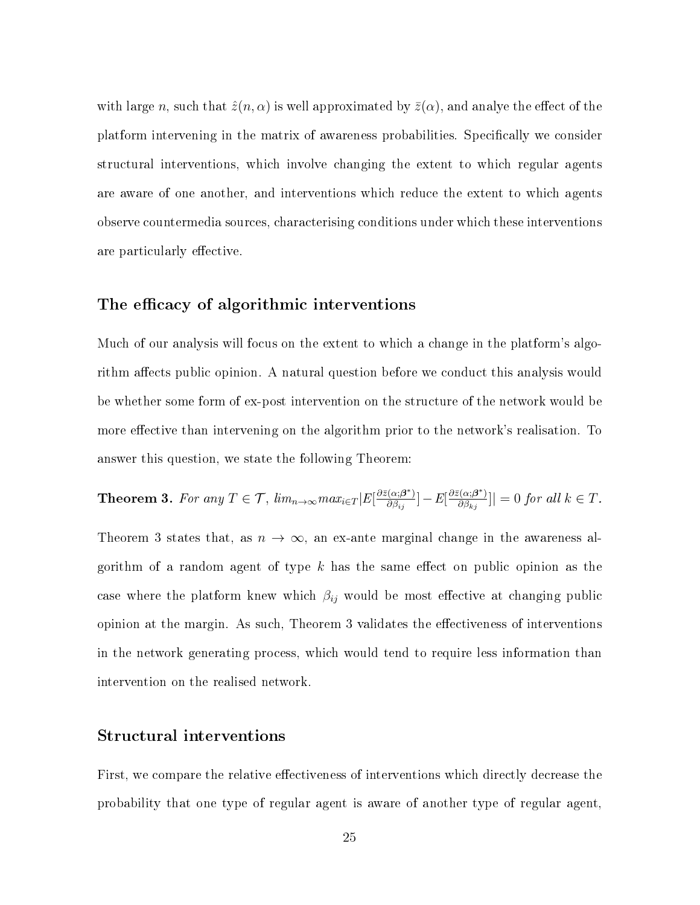with large n, such that  $\hat{z}(n, \alpha)$  is well approximated by  $\bar{z}(\alpha)$ , and analye the effect of the platform intervening in the matrix of awareness probabilities. Specifically we consider structural interventions, which involve changing the extent to which regular agents are aware of one another, and interventions which reduce the extent to which agents observe countermedia sources, characterising conditions under which these interventions are particularly effective.

#### The efficacy of algorithmic interventions

Much of our analysis will focus on the extent to which a change in the platform's algorithm affects public opinion. A natural question before we conduct this analysis would be whether some form of ex-post intervention on the structure of the network would be more effective than intervening on the algorithm prior to the network's realisation. To answer this question, we state the following Theorem:

**Theorem 3.** For any  $T \in \mathcal{T}$ ,  $\lim_{n \to \infty} max_{i \in T} |E[\frac{\partial \bar{z}(\alpha; \boldsymbol{\beta}^*)}{\partial \beta_{i,j}}]$  $\frac{\partial \bar{\partial}(\alpha;\boldsymbol{\beta}^*)}{\partial \beta_{ij}}]-E[\frac{\partial \bar{z}(\alpha;\boldsymbol{\beta}^*)}{\partial \beta_{kj}}]$  $\frac{\partial \langle \alpha, \beta^* \rangle}{\partial \beta_{kj}}$ ]| = 0 for all  $k \in T$ .

Theorem 3 states that, as  $n \to \infty$ , an ex-ante marginal change in the awareness algorithm of a random agent of type  $k$  has the same effect on public opinion as the case where the platform knew which  $\beta_{ij}$  would be most effective at changing public opinion at the margin. As such, Theorem 3 validates the effectiveness of interventions in the network generating process, which would tend to require less information than intervention on the realised network.

#### Structural interventions

First, we compare the relative effectiveness of interventions which directly decrease the probability that one type of regular agent is aware of another type of regular agent,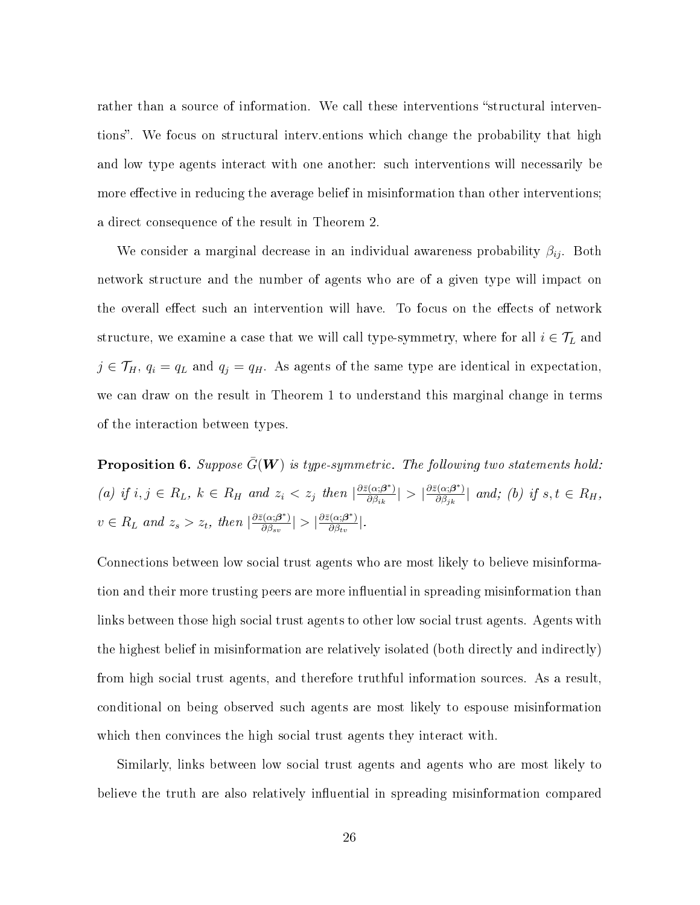rather than a source of information. We call these interventions "structural interventions". We focus on structural interv.entions which change the probability that high and low type agents interact with one another: such interventions will necessarily be more effective in reducing the average belief in misinformation than other interventions; a direct consequence of the result in Theorem 2.

We consider a marginal decrease in an individual awareness probability  $\beta_{ij}$ . Both network structure and the number of agents who are of a given type will impact on the overall effect such an intervention will have. To focus on the effects of network structure, we examine a case that we will call type-symmetry, where for all  $i \in \mathcal{T}_L$  and  $j \in \mathcal{T}_H$ ,  $q_i = q_L$  and  $q_j = q_H$ . As agents of the same type are identical in expectation, we can draw on the result in Theorem 1 to understand this marginal change in terms of the interaction between types.

**Proposition 6.** Suppose  $\bar{G}(W)$  is type-symmetric. The following two statements hold: (a) if  $i, j \in R_L$ ,  $k \in R_H$  and  $z_i < z_j$  then  $\left| \frac{\partial \bar{z}(\alpha; \beta^*)}{\partial \beta_{ik}} \right|$  $\frac{\partial \bar{\partial}(\alpha;\boldsymbol{\beta}^*)}{\partial \beta_{ik}}\big| > \big|\frac{\partial \bar{z}(\alpha;\boldsymbol{\beta}^*)}{\partial \beta_{jk}}\big|$  $\frac{\partial \{\alpha;\boldsymbol{\beta}^{\mathrm{T}}\}}{\partial \beta_{jk}}$  and; (b) if  $s,t \in R_H$ ,  $v \in R_L$  and  $z_s > z_t$ , then  $\left| \frac{\partial \bar{z}(\alpha;\boldsymbol{\beta}^*)}{\partial \beta_{ss}} \right|$  $\frac{\partial \bar{\partial}(\alpha;\boldsymbol{\beta}^*)}{\partial \beta_{sv}}|>\big|\frac{\partial \bar{z}(\alpha;\boldsymbol{\beta}^*)}{\partial \beta_{tv}}\big|$  $\frac{\partial \left( \alpha ;\beta ^{\ast }\right) }{\partial \beta _{tv}}\big\vert .$ 

Connections between low social trust agents who are most likely to believe misinformation and their more trusting peers are more influential in spreading misinformation than links between those high social trust agents to other low social trust agents. Agents with the highest belief in misinformation are relatively isolated (both directly and indirectly) from high social trust agents, and therefore truthful information sources. As a result, conditional on being observed such agents are most likely to espouse misinformation which then convinces the high social trust agents they interact with.

Similarly, links between low social trust agents and agents who are most likely to believe the truth are also relatively influential in spreading misinformation compared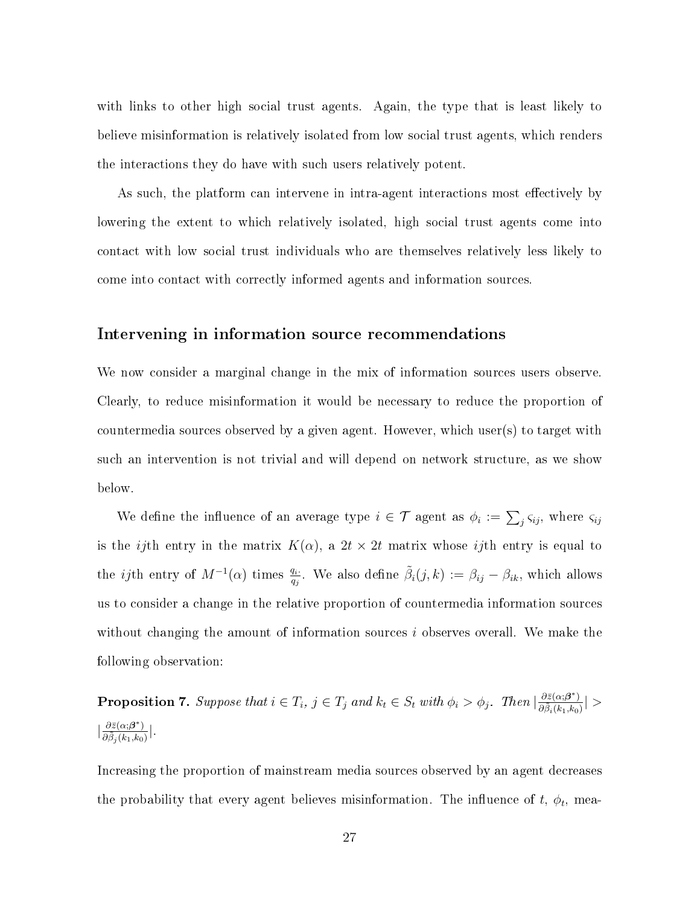with links to other high social trust agents. Again, the type that is least likely to believe misinformation is relatively isolated from low social trust agents, which renders the interactions they do have with such users relatively potent.

As such, the platform can intervene in intra-agent interactions most effectively by lowering the extent to which relatively isolated, high social trust agents come into contact with low social trust individuals who are themselves relatively less likely to come into contact with correctly informed agents and information sources.

#### Intervening in information source recommendations

We now consider a marginal change in the mix of information sources users observe. Clearly, to reduce misinformation it would be necessary to reduce the proportion of countermedia sources observed by a given agent. However, which user(s) to target with such an intervention is not trivial and will depend on network structure, as we show below.

We define the influence of an average type  $i \in \mathcal{T}$  agent as  $\phi_i := \sum_j \varsigma_{ij}$ , where  $\varsigma_{ij}$ is the *ij*th entry in the matrix  $K(\alpha)$ , a  $2t \times 2t$  matrix whose *ij*th entry is equal to the *ij*th entry of  $M^{-1}(\alpha)$  times  $\frac{q_i}{q_j}$ . We also define  $\tilde{\beta}_i(j,k) := \beta_{ij} - \beta_{ik}$ , which allows us to consider a change in the relative proportion of countermedia information sources without changing the amount of information sources i observes overall. We make the following observation:

**Proposition 7.** Suppose that  $i \in T_i$ ,  $j \in T_j$  and  $k_t \in S_t$  with  $\phi_i > \phi_j$ . Then  $\frac{\partial \bar{z}(\alpha;\beta^*)}{\partial \bar{\beta}(\beta^*)}$  $\frac{\partial z(\alpha ; \boldsymbol{\beta}^{\top})}{\partial \tilde{\beta}_i(k_1,k_0)}\big| >$  $\frac{\partial \bar{z}(\alpha;\boldsymbol{\beta}^*)}{\partial \tilde{\phi}(\alpha;\boldsymbol{h})}$  $\frac{\partial z(\alpha;\boldsymbol{\beta}^*)}{\partial \tilde{\beta}_j(k_1,k_0)}\Big|.$ 

Increasing the proportion of mainstream media sources observed by an agent decreases the probability that every agent believes misinformation. The influence of  $t, \phi_t$ , mea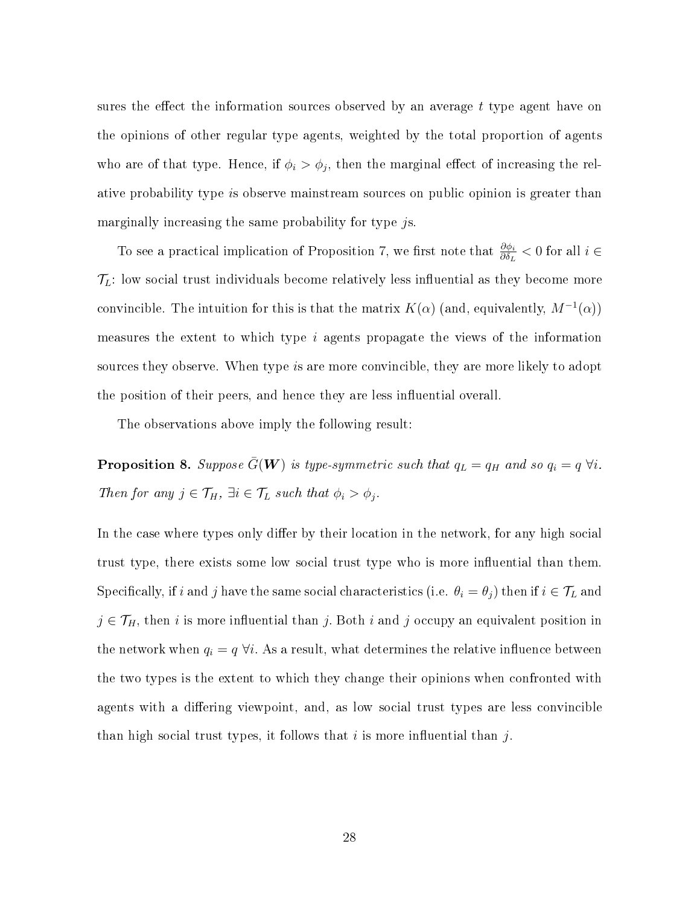sures the effect the information sources observed by an average  $t$  type agent have on the opinions of other regular type agents, weighted by the total proportion of agents who are of that type. Hence, if  $\phi_i > \phi_j$ , then the marginal effect of increasing the relative probability type is observe mainstream sources on public opinion is greater than marginally increasing the same probability for type js.

To see a practical implication of Proposition 7, we first note that  $\frac{\partial \phi_i}{\partial \delta_L}$  < 0 for all  $i \in$  $\mathcal{T}_L$ : low social trust individuals become relatively less influential as they become more convincible. The intuition for this is that the matrix  $K(\alpha)$  (and, equivalently,  $M^{-1}(\alpha)$ ) measures the extent to which type i agents propagate the views of the information sources they observe. When type is are more convincible, they are more likely to adopt the position of their peers, and hence they are less influential overall.

The observations above imply the following result:

**Proposition 8.** Suppose  $\bar{G}(\boldsymbol{W})$  is type-symmetric such that  $q_L = q_H$  and so  $q_i = q \forall i$ . Then for any  $j \in \mathcal{T}_H$ ,  $\exists i \in \mathcal{T}_L$  such that  $\phi_i > \phi_j$ .

In the case where types only differ by their location in the network, for any high social trust type, there exists some low social trust type who is more influential than them. Specifically, if i and j have the same social characteristics (i.e.  $\theta_i = \theta_j$ ) then if  $i \in \mathcal{T}_L$  and  $j \in \mathcal{T}_H$ , then i is more influential than j. Both i and j occupy an equivalent position in the network when  $q_i = q \forall i$ . As a result, what determines the relative influence between the two types is the extent to which they change their opinions when confronted with agents with a differing viewpoint, and, as low social trust types are less convincible than high social trust types, it follows that i is more influential than j.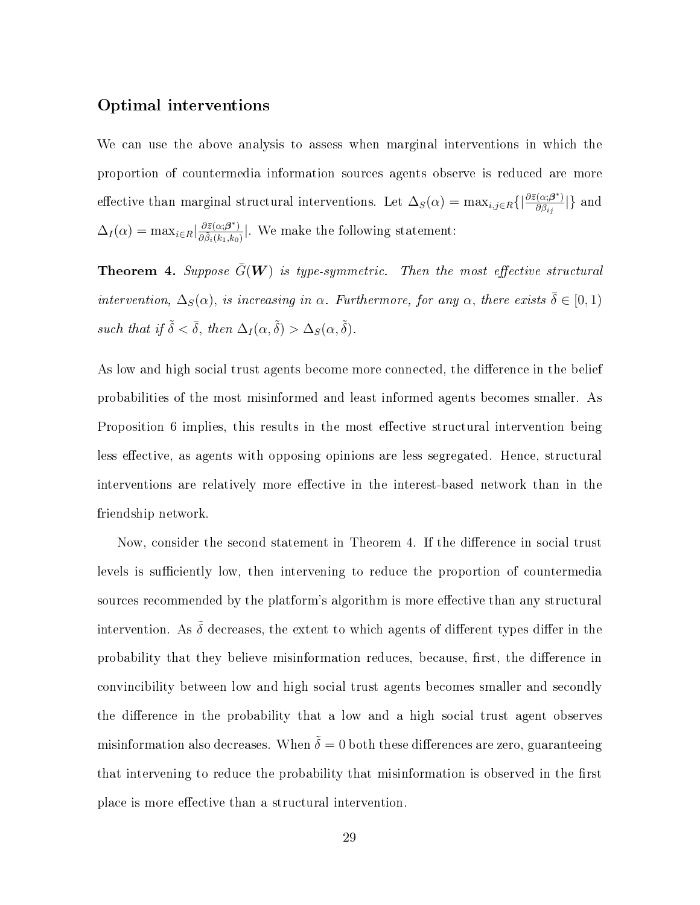#### Optimal interventions

We can use the above analysis to assess when marginal interventions in which the proportion of countermedia information sources agents observe is reduced are more effective than marginal structural interventions. Let  $\Delta_S(\alpha) = \max_{i,j \in R} \{|\frac{\partial \bar{z}(\alpha;\beta^*)}{\partial \beta_{ij}}\rangle\}$  $\frac{(\alpha;\boldsymbol{\beta}^{\top})}{\partial \beta_{ij}}$  and  $\Delta_I(\alpha) = \max_{i \in R} \left| \frac{\partial \bar{z}(\alpha; \beta^*)}{\partial \tilde{\beta} \cdot (k_1, k_2)} \right|$  $\frac{\partial z(\alpha;\boldsymbol{\beta}^*)}{\partial \tilde{\beta}_i(k_1,k_0)}$ . We make the following statement:

**Theorem 4.** Suppose  $\bar{G}(\boldsymbol{W})$  is type-symmetric. Then the most effective structural intervention,  $\Delta_S(\alpha)$ , is increasing in  $\alpha$ . Furthermore, for any  $\alpha$ , there exists  $\bar{\delta} \in [0,1)$ such that if  $\tilde{\delta} < \bar{\delta}$ , then  $\Delta_I(\alpha, \tilde{\delta}) > \Delta_S(\alpha, \tilde{\delta})$ .

As low and high social trust agents become more connected, the difference in the belief probabilities of the most misinformed and least informed agents becomes smaller. As Proposition 6 implies, this results in the most effective structural intervention being less effective, as agents with opposing opinions are less segregated. Hence, structural interventions are relatively more effective in the interest-based network than in the friendship network.

Now, consider the second statement in Theorem 4. If the difference in social trust levels is sufficiently low, then intervening to reduce the proportion of countermedia sources recommended by the platform's algorithm is more effective than any structural intervention. As  $\tilde{\delta}$  decreases, the extent to which agents of different types differ in the probability that they believe misinformation reduces, because, first, the difference in convincibility between low and high social trust agents becomes smaller and secondly the difference in the probability that a low and a high social trust agent observes misinformation also decreases. When  $\tilde{\delta} = 0$  both these differences are zero, guaranteeing that intervening to reduce the probability that misinformation is observed in the first place is more effective than a structural intervention.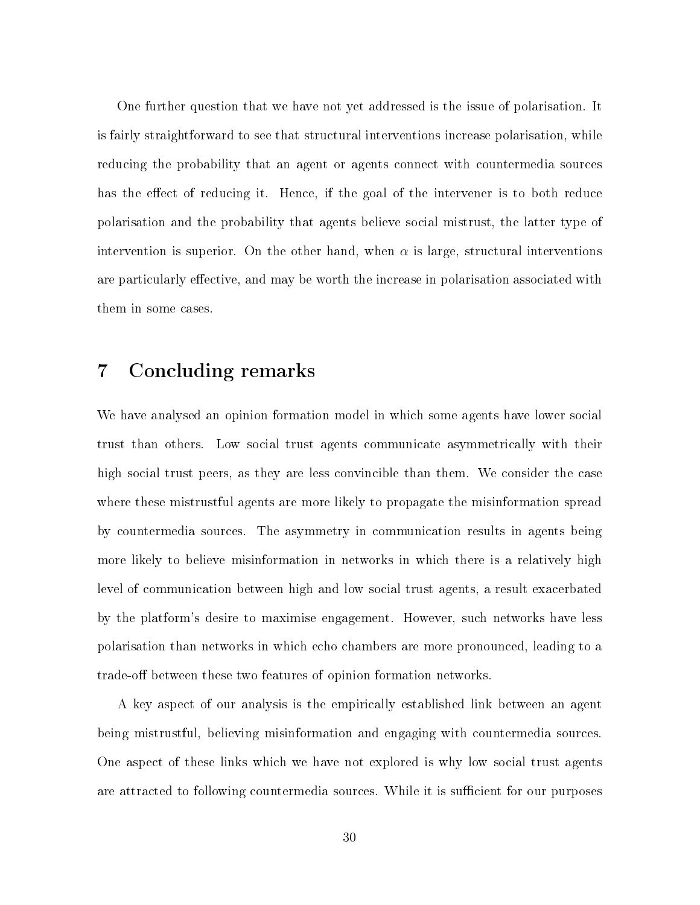One further question that we have not yet addressed is the issue of polarisation. It is fairly straightforward to see that structural interventions increase polarisation, while reducing the probability that an agent or agents connect with countermedia sources has the effect of reducing it. Hence, if the goal of the intervener is to both reduce polarisation and the probability that agents believe social mistrust, the latter type of intervention is superior. On the other hand, when  $\alpha$  is large, structural interventions are particularly effective, and may be worth the increase in polarisation associated with them in some cases.

# 7 Concluding remarks

We have analysed an opinion formation model in which some agents have lower social trust than others. Low social trust agents communicate asymmetrically with their high social trust peers, as they are less convincible than them. We consider the case where these mistrustful agents are more likely to propagate the misinformation spread by countermedia sources. The asymmetry in communication results in agents being more likely to believe misinformation in networks in which there is a relatively high level of communication between high and low social trust agents, a result exacerbated by the platform's desire to maximise engagement. However, such networks have less polarisation than networks in which echo chambers are more pronounced, leading to a trade-off between these two features of opinion formation networks.

A key aspect of our analysis is the empirically established link between an agent being mistrustful, believing misinformation and engaging with countermedia sources. One aspect of these links which we have not explored is why low social trust agents are attracted to following countermedia sources. While it is sufficient for our purposes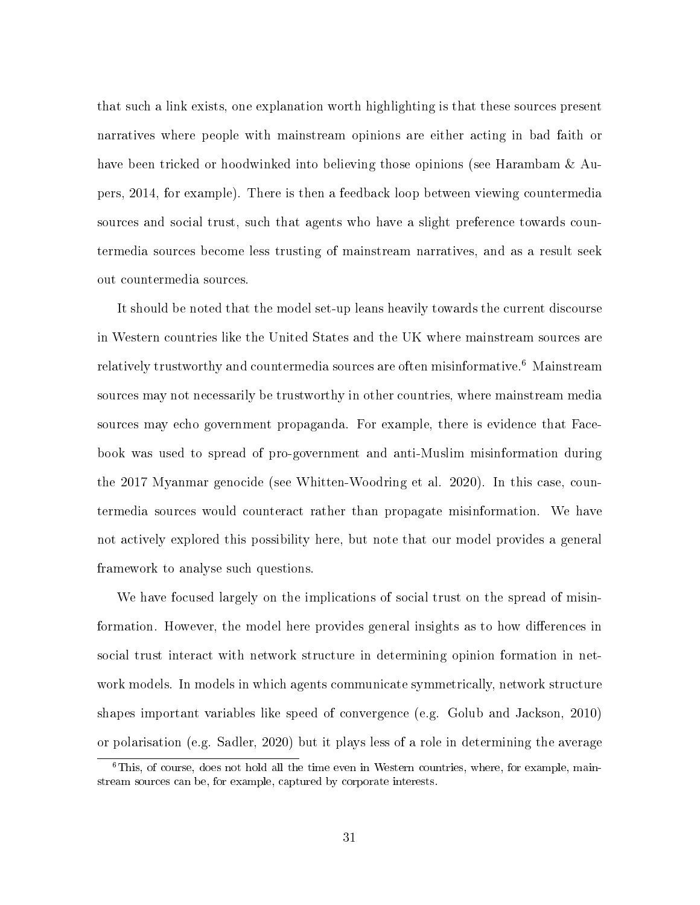that such a link exists, one explanation worth highlighting is that these sources present narratives where people with mainstream opinions are either acting in bad faith or have been tricked or hoodwinked into believing those opinions (see Harambam & Aupers, 2014, for example). There is then a feedback loop between viewing countermedia sources and social trust, such that agents who have a slight preference towards countermedia sources become less trusting of mainstream narratives, and as a result seek out countermedia sources.

It should be noted that the model set-up leans heavily towards the current discourse in Western countries like the United States and the UK where mainstream sources are relatively trustworthy and countermedia sources are often misinformative.<sup>6</sup> Mainstream sources may not necessarily be trustworthy in other countries, where mainstream media sources may echo government propaganda. For example, there is evidence that Facebook was used to spread of pro-government and anti-Muslim misinformation during the 2017 Myanmar genocide (see Whitten-Woodring et al. 2020). In this case, countermedia sources would counteract rather than propagate misinformation. We have not actively explored this possibility here, but note that our model provides a general framework to analyse such questions.

We have focused largely on the implications of social trust on the spread of misinformation. However, the model here provides general insights as to how differences in social trust interact with network structure in determining opinion formation in network models. In models in which agents communicate symmetrically, network structure shapes important variables like speed of convergence (e.g. Golub and Jackson, 2010) or polarisation (e.g. Sadler, 2020) but it plays less of a role in determining the average

<sup>&</sup>lt;sup>6</sup>This, of course, does not hold all the time even in Western countries, where, for example, mainstream sources can be, for example, captured by corporate interests.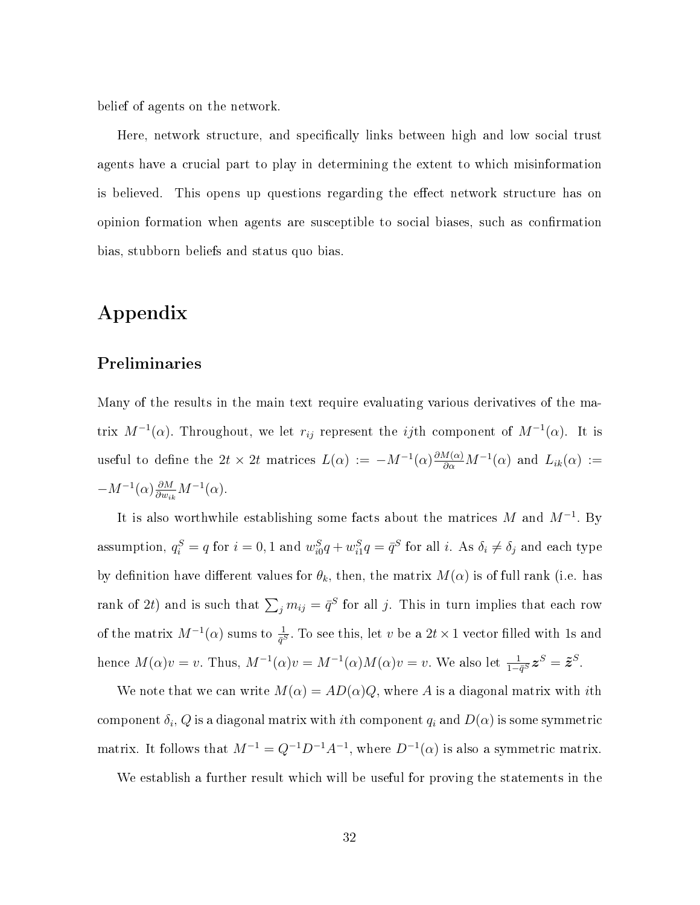belief of agents on the network.

Here, network structure, and specifically links between high and low social trust agents have a crucial part to play in determining the extent to which misinformation is believed. This opens up questions regarding the effect network structure has on opinion formation when agents are susceptible to social biases, such as conrmation bias, stubborn beliefs and status quo bias.

# Appendix

#### Preliminaries

Many of the results in the main text require evaluating various derivatives of the matrix  $M^{-1}(\alpha)$ . Throughout, we let  $r_{ij}$  represent the *ij*th component of  $M^{-1}(\alpha)$ . It is useful to define the  $2t \times 2t$  matrices  $L(\alpha) := -M^{-1}(\alpha) \frac{\partial M(\alpha)}{\partial \alpha} M^{-1}(\alpha)$  and  $L_{ik}(\alpha) :=$  $-M^{-1}(\alpha) \frac{\partial M}{\partial w_{ik}} M^{-1}(\alpha)$ .

It is also worthwhile establishing some facts about the matrices M and  $M^{-1}$ . By assumption,  $q_i^S = q$  for  $i = 0, 1$  and  $w_{i0}^S q + w_{i1}^S q = \bar{q}^S$  for all  $i$ . As  $\delta_i \neq \delta_j$  and each type by definition have different values for  $\theta_k$ , then, the matrix  $M(\alpha)$  is of full rank (i.e. has rank of 2t) and is such that  $\sum_j m_{ij} = \bar{q}^S$  for all j. This in turn implies that each row of the matrix  $M^{-1}(\alpha)$  sums to  $\frac{1}{\bar{q}^S}$ . To see this, let v be a  $2t \times 1$  vector filled with 1s and hence  $M(\alpha)v = v$ . Thus,  $M^{-1}(\alpha)v = M^{-1}(\alpha)M(\alpha)v = v$ . We also let  $\frac{1}{1-\bar{q}^S}\boldsymbol{z}^S = \tilde{\boldsymbol{z}}^S$ .

We note that we can write  $M(\alpha) = AD(\alpha)Q$ , where A is a diagonal matrix with *i*th component  $\delta_i, Q$  is a diagonal matrix with  $i$ th component  $q_i$  and  $D(\alpha)$  is some symmetric matrix. It follows that  $M^{-1} = Q^{-1}D^{-1}A^{-1}$ , where  $D^{-1}(\alpha)$  is also a symmetric matrix.

We establish a further result which will be useful for proving the statements in the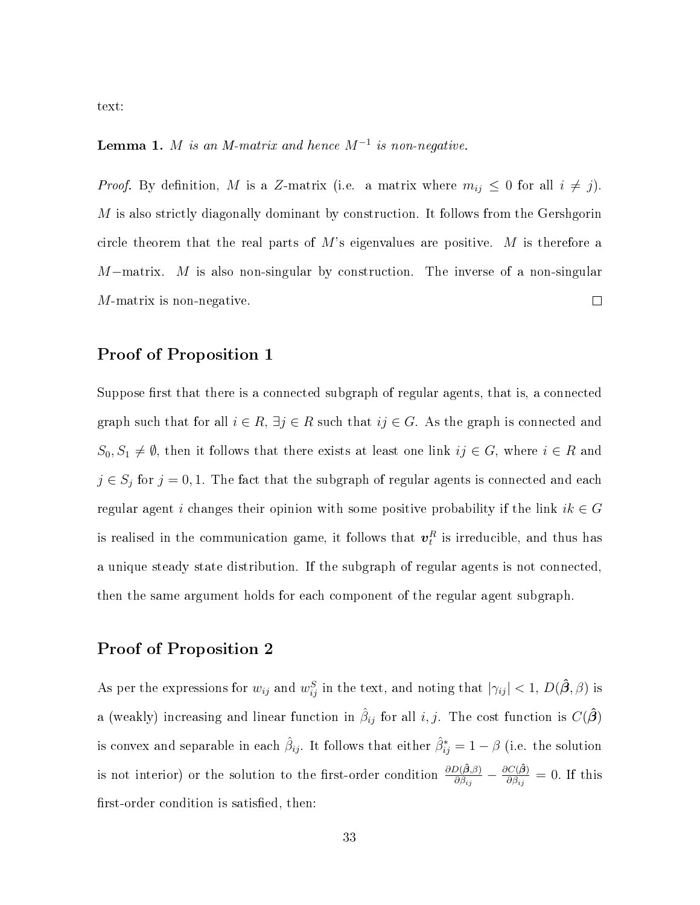text:

#### **Lemma 1.** M is an M-matrix and hence  $M^{-1}$  is non-negative.

*Proof.* By definition, M is a Z-matrix (i.e. a matrix where  $m_{ij} \leq 0$  for all  $i \neq j$ ). M is also strictly diagonally dominant by construction. It follows from the Gershgorin circle theorem that the real parts of  $M$ 's eigenvalues are positive. M is therefore a  $M$ –matrix. M is also non-singular by construction. The inverse of a non-singular M-matrix is non-negative.  $\Box$ 

## Proof of Proposition 1

Suppose first that there is a connected subgraph of regular agents, that is, a connected graph such that for all  $i \in R$ ,  $\exists j \in R$  such that  $ij \in G$ . As the graph is connected and  $S_0, S_1 \neq \emptyset$ , then it follows that there exists at least one link  $ij \in G$ , where  $i \in R$  and  $j \in S_j$  for  $j = 0, 1$ . The fact that the subgraph of regular agents is connected and each regular agent i changes their opinion with some positive probability if the link  $ik \in G$ is realised in the communication game, it follows that  $\boldsymbol{v}^R_t$  is irreducible, and thus has a unique steady state distribution. If the subgraph of regular agents is not connected, then the same argument holds for each component of the regular agent subgraph.

#### Proof of Proposition 2

As per the expressions for  $w_{ij}$  and  $w_{ij}^S$  in the text, and noting that  $|\gamma_{ij}| < 1$ ,  $D(\hat{\beta}, \beta)$  is a (weakly) increasing and linear function in  $\hat{\beta}_{ij}$  for all  $i, j$ . The cost function is  $C(\hat{\boldsymbol{\beta}})$ is convex and separable in each  $\hat{\beta}_{ij}$ . It follows that either  $\hat{\beta}_{ij}^* = 1 - \beta$  (i.e. the solution is not interior) or the solution to the first-order condition  $\frac{\partial D(\hat{\beta},\beta)}{\partial \beta_{ij}} - \frac{\partial C(\hat{\beta})}{\partial \beta_{ij}}$  $\frac{\partial C(\boldsymbol{\beta})}{\partial \beta_{ij}} = 0$ . If this first-order condition is satisfied, then: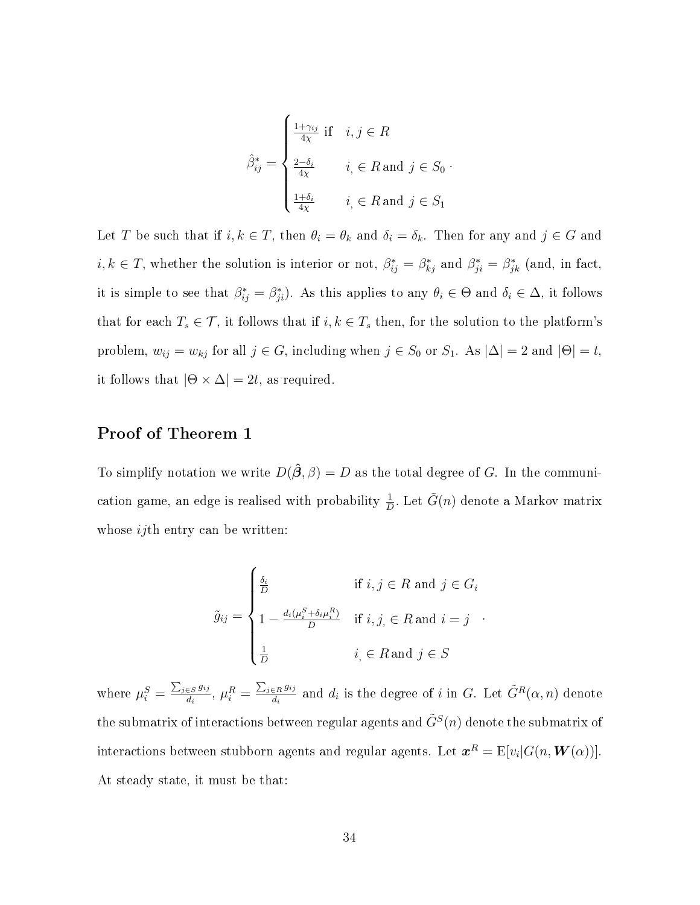$$
\hat{\beta}_{ij}^* = \begin{cases}\n\frac{1 + \gamma_{ij}}{4\chi} & \text{if } i, j \in R \\
\frac{2 - \delta_i}{4\chi} & i \in R \text{ and } j \in S_0 \\
\frac{1 + \delta_i}{4\chi} & i \in R \text{ and } j \in S_1\n\end{cases}
$$

Let T be such that if  $i, k \in T$ , then  $\theta_i = \theta_k$  and  $\delta_i = \delta_k$ . Then for any and  $j \in G$  and  $i, k \in T$ , whether the solution is interior or not,  $\beta_{ij}^* = \beta_{kj}^*$  and  $\beta_{ji}^* = \beta_{jk}^*$  (and, in fact, it is simple to see that  $\beta_{ij}^* = \beta_{ji}^*$ ). As this applies to any  $\theta_i \in \Theta$  and  $\delta_i \in \Delta$ , it follows that for each  $T_s \in \mathcal{T}$ , it follows that if  $i, k \in T_s$  then, for the solution to the platform's problem,  $w_{ij} = w_{kj}$  for all  $j \in G$ , including when  $j \in S_0$  or  $S_1$ . As  $|\Delta| = 2$  and  $|\Theta| = t$ , it follows that  $|\Theta \times \Delta| = 2t$ , as required.

#### Proof of Theorem 1

To simplify notation we write  $D(\hat{\beta}, \beta) = D$  as the total degree of G. In the communication game, an edge is realised with probability  $\frac{1}{D}$ . Let  $\tilde{G}(n)$  denote a Markov matrix whose *i j*th entry can be written:

$$
\tilde{g}_{ij} = \begin{cases}\n\frac{\delta_i}{D} & \text{if } i, j \in R \text{ and } j \in G_i \\
1 - \frac{d_i(\mu_i^S + \delta_i \mu_i^R)}{D} & \text{if } i, j \in R \text{ and } i = j \\
\frac{1}{D} & i \in R \text{ and } j \in S\n\end{cases}
$$

where  $\mu_i^S = \frac{\sum_{j \in S} g_{ij}}{d_i}$  $\frac{\epsilon_S \, g_{ij}}{d_i},\ \mu_i^R=\frac{\sum_{j\in R} g_{ij}}{d_i}$  $\frac{d^{i}R^{g_{ij}}_{di}}{d_i}$  and  $d_i$  is the degree of i in G. Let  $\tilde{G}^R(\alpha, n)$  denote the submatrix of interactions between regular agents and  $\tilde{G}^S(n)$  denote the submatrix of interactions between stubborn agents and regular agents. Let  $\bm{x}^R = \mathrm{E}[v_i|G(n,\bm{W}(\alpha))].$ At steady state, it must be that: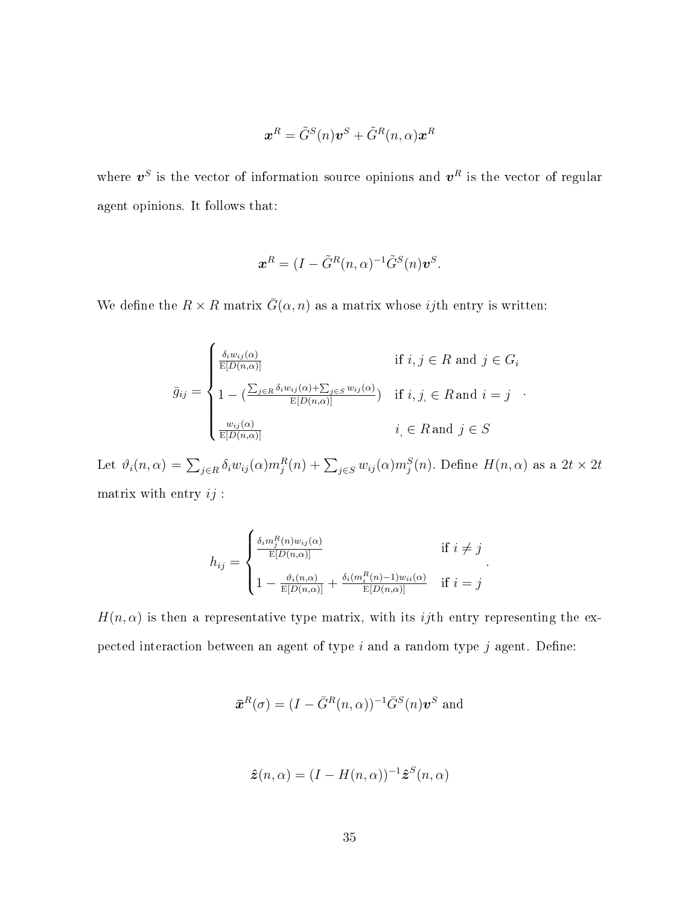$$
\boldsymbol{x}^R = \tilde{G}^S(n)\boldsymbol{v}^S + \tilde{G}^R(n,\alpha)\boldsymbol{x}^R
$$

where  $v^S$  is the vector of information source opinions and  $v^R$  is the vector of regular agent opinions. It follows that:

$$
\boldsymbol{x}^R = (I - \tilde{G}^R(n, \alpha)^{-1} \tilde{G}^S(n) \boldsymbol{v}^S.
$$

We define the  $R \times R$  matrix  $\bar{G}(\alpha, n)$  as a matrix whose *ij*th entry is written:

$$
\bar{g}_{ij} = \begin{cases}\n\frac{\delta_i w_{ij}(\alpha)}{\mathbb{E}[D(n,\alpha)]} & \text{if } i, j \in R \text{ and } j \in G_i \\
1 - (\frac{\sum_{j \in R} \delta_i w_{ij}(\alpha) + \sum_{j \in S} w_{ij}(\alpha)}{\mathbb{E}[D(n,\alpha)]}) & \text{if } i, j \in R \text{ and } i = j \\
\frac{w_{ij}(\alpha)}{\mathbb{E}[D(n,\alpha)]} & i \in R \text{ and } j \in S\n\end{cases}
$$

Let  $\vartheta_i(n,\alpha) = \sum_{j\in R} \delta_i w_{ij}(\alpha) m_j^R(n) + \sum_{j\in S} w_{ij}(\alpha) m_j^S(n)$ . Define  $H(n,\alpha)$  as a  $2t\times 2t$ matrix with entry  $ij$  :

$$
h_{ij} = \begin{cases} \frac{\delta_i m_j^R(n) w_{ij}(\alpha)}{\mathbb{E}[D(n,\alpha)]} & \text{if } i \neq j \\ 1 - \frac{\vartheta_i(n,\alpha)}{\mathbb{E}[D(n,\alpha)]} + \frac{\delta_i(m_i^R(n)-1) w_{ii}(\alpha)}{\mathbb{E}[D(n,\alpha)]} & \text{if } i = j \end{cases}.
$$

 $H(n, \alpha)$  is then a representative type matrix, with its *ij*th entry representing the expected interaction between an agent of type  $i$  and a random type  $j$  agent. Define:

$$
\boldsymbol{\bar{x}}^{R}(\sigma)=(I-\bar{G}^{R}(n,\alpha))^{-1}\bar{G}^{S}(n)\boldsymbol{v}^{S}\text{ and }\\
$$

$$
\hat{\mathbf{z}}(n,\alpha) = (I - H(n,\alpha))^{-1} \hat{\mathbf{z}}^S(n,\alpha)
$$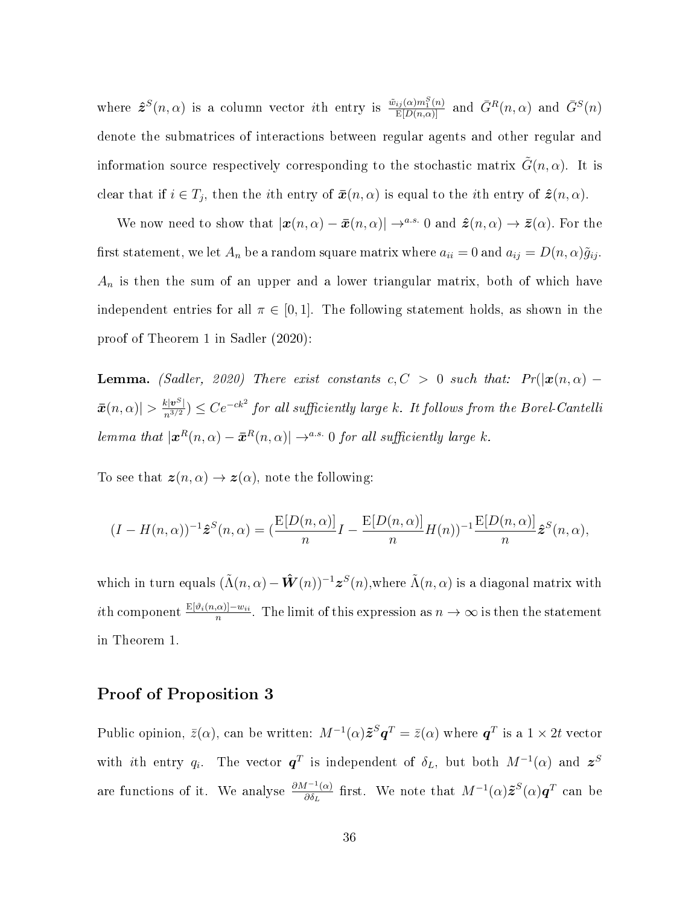where  $\hat{\mathbf{z}}^{S}(n,\alpha)$  is a column vector *i*th entry is  $\frac{\tilde{w}_{ij}(\alpha)m_1^S(n)}{E[D(n,\alpha)]}$  and  $\bar{G}^{R}(n,\alpha)$  and  $\bar{G}^{S}(n)$ denote the submatrices of interactions between regular agents and other regular and information source respectively corresponding to the stochastic matrix  $G(n, \alpha)$ . It is clear that if  $i \in T_j$ , then the *i*th entry of  $\bar{x}(n, \alpha)$  is equal to the *i*th entry of  $\hat{z}(n, \alpha)$ .

We now need to show that  $|\boldsymbol{x}(n, \alpha) - \bar{\boldsymbol{x}}(n, \alpha)| \to^{a.s.} 0$  and  $\hat{\boldsymbol{z}}(n, \alpha) \to \bar{\boldsymbol{z}}(\alpha)$ . For the first statement, we let  $A_n$  be a random square matrix where  $a_{ii} = 0$  and  $a_{ij} = D(n, \alpha)\tilde{g}_{ij}$ .  $A_n$  is then the sum of an upper and a lower triangular matrix, both of which have independent entries for all  $\pi \in [0, 1]$ . The following statement holds, as shown in the proof of Theorem 1 in Sadler (2020):

**Lemma.** (Sadler, 2020) There exist constants  $c, C > 0$  such that:  $Pr(|\mathbf{x}(n, \alpha)| \bar{x}(n,\alpha)|>\frac{k|\bm v^S|}{n^{3/2}})\leq Ce^{-ck^2}$  for all sufficiently large k. It follows from the Borel-Cantelli lemma that  $|\boldsymbol{x}^R(n,\alpha)-\bar{\boldsymbol{x}}^R(n,\alpha)| \rightarrow^{a.s.} 0$  for all sufficiently large k.

To see that  $\mathbf{z}(n, \alpha) \to \mathbf{z}(\alpha)$ , note the following:

$$
(I - H(n, \alpha))^{-1} \hat{\boldsymbol{z}}^{S}(n, \alpha) = \left(\frac{\mathbb{E}[D(n, \alpha)]}{n}I - \frac{\mathbb{E}[D(n, \alpha)]}{n}H(n)\right)^{-1} \frac{\mathbb{E}[D(n, \alpha)]}{n} \hat{\boldsymbol{z}}^{S}(n, \alpha),
$$

which in turn equals  $(\tilde{\Lambda}(n, \alpha) - \hat{W}(n))^{-1} z^S(n)$ , where  $\tilde{\Lambda}(n, \alpha)$  is a diagonal matrix with *i*th component  $\frac{E[\vartheta_i(n,\alpha)]-w_{ii}}{n}$ . The limit of this expression as  $n \to \infty$  is then the statement in Theorem 1.

#### Proof of Proposition 3

Public opinion,  $\bar{z}(\alpha)$ , can be written:  $M^{-1}(\alpha) \tilde{\bm{z}}^S \bm{q}^T = \bar{z}(\alpha)$  where  $\bm{q}^T$  is a  $1 \times 2t$  vector with ith entry  $q_i$ . The vector  $\boldsymbol{q}^T$  is independent of  $\delta_L$ , but both  $M^{-1}(\alpha)$  and  $\boldsymbol{z}^S$ are functions of it. We analyse  $\frac{\partial M^{-1}(\alpha)}{\partial \delta_{\tau}}$  $\frac{dI^{-1}(\alpha)}{\partial \delta_L}$  first. We note that  $M^{-1}(\alpha) \tilde{\bm{z}}^S(\alpha) \bm{q}^T$  can be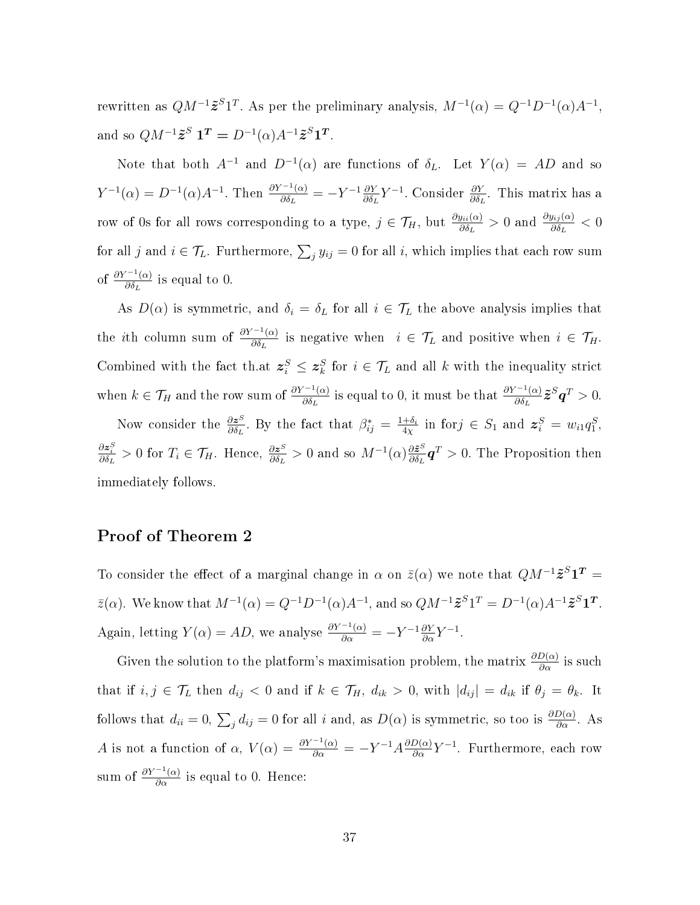rewritten as  $QM^{-1}\tilde{z}^{S}1^{T}$ . As per the preliminary analysis,  $M^{-1}(\alpha) = Q^{-1}D^{-1}(\alpha)A^{-1}$ , and so  $QM^{-1}\tilde{z}^S \mathbf{1}^T = D^{-1}(\alpha)A^{-1}\tilde{z}^S \mathbf{1}^T$ .

Note that both  $A^{-1}$  and  $D^{-1}(\alpha)$  are functions of  $\delta_L$ . Let  $Y(\alpha) = AD$  and so  $Y^{-1}(\alpha) = D^{-1}(\alpha)A^{-1}$ . Then  $\frac{\partial Y^{-1}(\alpha)}{\partial \delta x}$  $\frac{\partial^{\gamma-1}(\alpha)}{\partial \delta_L} = -Y^{-1} \frac{\partial Y}{\partial \delta_I}$  $\frac{\partial Y}{\partial \delta_L} Y^{-1}$ . Consider  $\frac{\partial Y}{\partial \delta_L}$ . This matrix has a row of 0s for all rows corresponding to a type,  $j \in \mathcal{T}_H$ , but  $\frac{\partial y_{ii}(\alpha)}{\partial \delta_L} > 0$  and  $\frac{\partial y_{ij}(\alpha)}{\partial \delta_L} < 0$ for all j and  $i \in \mathcal{T}_L$ . Furthermore,  $\sum_j y_{ij} = 0$  for all i, which implies that each row sum of  $\frac{\partial Y^{-1}(\alpha)}{\partial \delta_{\tau}}$  $\frac{\partial}{\partial \delta_L}$  is equal to 0.

As  $D(\alpha)$  is symmetric, and  $\delta_i = \delta_L$  for all  $i \in \mathcal{T}_L$  the above analysis implies that the *i*th column sum of  $\frac{\partial Y^{-1}(\alpha)}{\partial \delta x}$  $\frac{d^2(\alpha)}{\partial \delta_L}$  is negative when  $i \in \mathcal{T}_L$  and positive when  $i \in \mathcal{T}_H$ . Combined with the fact th.at  $z_i^S \leq z_k^S$  for  $i \in \mathcal{T}_L$  and all k with the inequality strict when  $k \in \mathcal{T}_H$  and the row sum of  $\frac{\partial Y^{-1}(\alpha)}{\partial \delta I}$  $\frac{\partial^{r-1}(\alpha)}{\partial \delta_L}$  is equal to 0, it must be that  $\frac{\partial Y^{-1}(\alpha)}{\partial \delta_L}$  $\frac{\partial^{\gamma-1}(\alpha)}{\partial \delta_L}\tilde{\bm{z}}^S\bm{q}^T>0.$ 

Now consider the  $\frac{\partial z^S}{\partial \delta z}$  $\frac{\partial z^S}{\partial \delta_L}$ . By the fact that  $\beta^*_{ij} = \frac{1+\delta_i}{4\chi}$  $\frac{+\delta_i}{4\chi}$  in for  $j \in S_1$  and  $\boldsymbol{z}_i^S = w_{i1}q_1^S$ ,  $\frac{\partial z_i^S}{\partial \delta_L} > 0$  for  $T_i \in \mathcal{T}_H$ . Hence,  $\frac{\partial z^S}{\partial \delta_L}$  $\frac{\partial z^{S}}{\partial \delta_{L}}$  > 0 and so  $M^{-1}(\alpha)\frac{\partial \tilde{z}^{S}}{\partial \delta_{L}}$  $\frac{\partial \tilde{z}^{\mathrm{s}}}{\partial \delta_L} \boldsymbol{q}^T > 0$ . The Proposition then immediately follows.

#### Proof of Theorem 2

To consider the effect of a marginal change in  $\alpha$  on  $\bar{z}(\alpha)$  we note that  $QM^{-1}\tilde{z}^{S}1^{T} =$  $\bar{z}(\alpha)$ . We know that  $M^{-1}(\alpha) = Q^{-1}D^{-1}(\alpha)A^{-1}$ , and so  $QM^{-1}\tilde{z}^{S}1^{T} = D^{-1}(\alpha)A^{-1}\tilde{z}^{S}1^{T}$ . Again, letting  $Y(\alpha) = AD$ , we analyse  $\frac{\partial Y^{-1}(\alpha)}{\partial \alpha} = -Y^{-1} \frac{\partial Y}{\partial \alpha} Y^{-1}$ .

Given the solution to the platform's maximisation problem, the matrix  $\frac{\partial D(\alpha)}{\partial \alpha}$  is such that if  $i, j \in \mathcal{T}_L$  then  $d_{ij} < 0$  and if  $k \in \mathcal{T}_H$ ,  $d_{ik} > 0$ , with  $|d_{ij}| = d_{ik}$  if  $\theta_j = \theta_k$ . It follows that  $d_{ii} = 0$ ,  $\sum_j d_{ij} = 0$  for all i and, as  $D(\alpha)$  is symmetric, so too is  $\frac{\partial D(\alpha)}{\partial \alpha}$ . As A is not a function of  $\alpha$ ,  $V(\alpha) = \frac{\partial Y^{-1}(\alpha)}{\partial \alpha} = -Y^{-1}A \frac{\partial D(\alpha)}{\partial \alpha} Y^{-1}$ . Furthermore, each row sum of  $\frac{\partial Y^{-1}(\alpha)}{\partial \alpha}$  is equal to 0. Hence: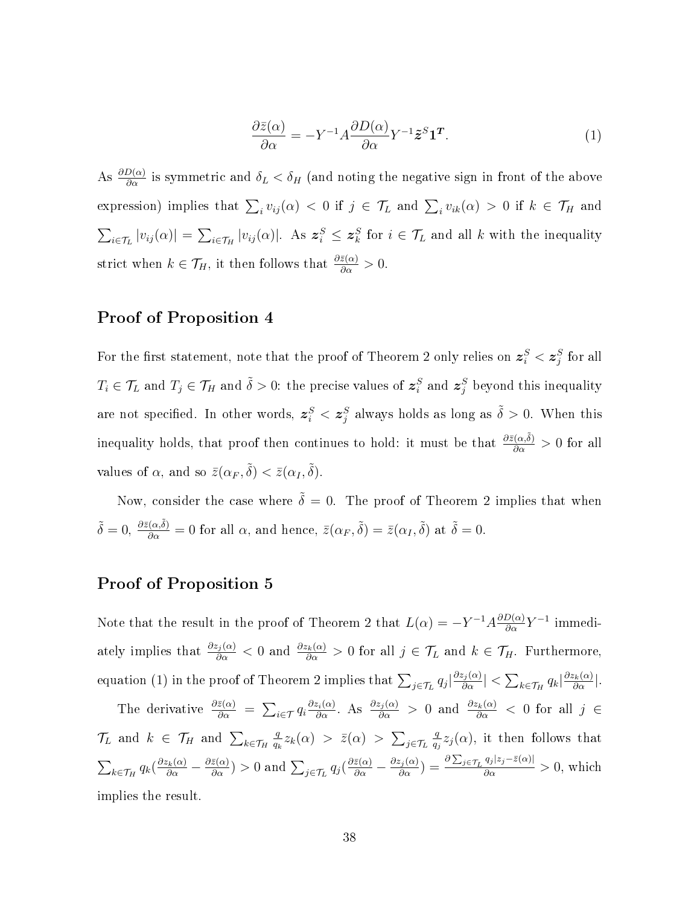$$
\frac{\partial \bar{z}(\alpha)}{\partial \alpha} = -Y^{-1}A \frac{\partial D(\alpha)}{\partial \alpha} Y^{-1} \tilde{z}^S \mathbf{1}^T. \tag{1}
$$

As  $\frac{\partial D(\alpha)}{\partial \alpha}$  is symmetric and  $\delta_L < \delta_H$  (and noting the negative sign in front of the above expression) implies that  $\sum_i v_{ij}(\alpha) < 0$  if  $j \in \mathcal{T}_L$  and  $\sum_i v_{ik}(\alpha) > 0$  if  $k \in \mathcal{T}_H$  and  $\sum_{i\in\mathcal{T}_L} |v_{ij}(\alpha)| = \sum_{i\in\mathcal{T}_H} |v_{ij}(\alpha)|$ . As  $\mathbf{z}_i^S \leq \mathbf{z}_k^S$  for  $i \in \mathcal{T}_L$  and all k with the inequality strict when  $k \in \mathcal{T}_H$ , it then follows that  $\frac{\partial \bar{z}(\alpha)}{\partial \alpha} > 0$ .

#### Proof of Proposition 4

For the first statement, note that the proof of Theorem 2 only relies on  $\boldsymbol{z}^S_i < \boldsymbol{z}^S_j$  for all  $T_i \in \mathcal{T}_L$  and  $T_j \in \mathcal{T}_H$  and  $\tilde{\delta} > 0$ : the precise values of  $\boldsymbol{z}_i^S$  and  $\boldsymbol{z}_j^S$  beyond this inequality are not specified. In other words,  $\bm{z}_i^S < \bm{z}_j^S$  always holds as long as  $\tilde{\delta} > 0$ . When this inequality holds, that proof then continues to hold: it must be that  $\frac{\partial \bar{z}(\alpha,\tilde{\delta})}{\partial \alpha} > 0$  for all values of  $\alpha$ , and so  $\bar{z}(\alpha_F, \tilde{\delta}) < \bar{z}(\alpha_I, \tilde{\delta}).$ 

Now, consider the case where  $\tilde{\delta} = 0$ . The proof of Theorem 2 implies that when  $\tilde{\delta} = 0$ ,  $\frac{\partial \bar{z}(\alpha, \tilde{\delta})}{\partial \alpha} = 0$  for all  $\alpha$ , and hence,  $\bar{z}(\alpha_F, \tilde{\delta}) = \bar{z}(\alpha_I, \tilde{\delta})$  at  $\tilde{\delta} = 0$ .

#### Proof of Proposition 5

Note that the result in the proof of Theorem 2 that  $L(\alpha) = -Y^{-1}A\frac{\partial D(\alpha)}{\partial \alpha}Y^{-1}$  immediately implies that  $\frac{\partial z_j(\alpha)}{\partial \alpha} < 0$  and  $\frac{\partial z_k(\alpha)}{\partial \alpha} > 0$  for all  $j \in \mathcal{T}_L$  and  $k \in \mathcal{T}_H$ . Furthermore, equation (1) in the proof of Theorem 2 implies that  $\sum_{j\in\mathcal{T}_L} q_j \left| \frac{\partial z_j(\alpha)}{\partial \alpha} \right| < \sum_{k\in\mathcal{T}_H} q_k \left| \frac{\partial z_k(\alpha)}{\partial \alpha} \right|$ . The derivative  $\frac{\partial \bar{z}(\alpha)}{\partial \alpha} = \sum_{i \in \mathcal{T}} q_i \frac{\partial z_i(\alpha)}{\partial \alpha}$ . As  $\frac{\partial z_j(\alpha)}{\partial \alpha} > 0$  and  $\frac{\partial z_k(\alpha)}{\partial \alpha} < 0$  for all  $j \in$  $\mathcal{T}_L$  and  $k \in \mathcal{T}_H$  and  $\sum_{k \in \mathcal{T}_H}$ q  $\frac{q}{q_k} z_k(\alpha) > \bar{z}(\alpha) > \sum_{j \in \mathcal{T}_L}$ q  $\frac{q}{q_j}z_j(\alpha)$ , it then follows that  $\sum_{k \in \mathcal{T}_H} q_k \left( \frac{\partial z_k(\alpha)}{\partial \alpha} - \frac{\partial \bar{z}(\alpha)}{\partial \alpha} \right) > 0$  and  $\sum_{j \in \mathcal{T}_L} q_j \left( \frac{\partial \bar{z}(\alpha)}{\partial \alpha} - \frac{\partial z_j(\alpha)}{\partial \alpha} \right) = \frac{\partial \sum_{j \in \mathcal{T}_L} q_j |z_j - \bar{z}(\alpha)|}{\partial \alpha} > 0$ , which implies the result.

38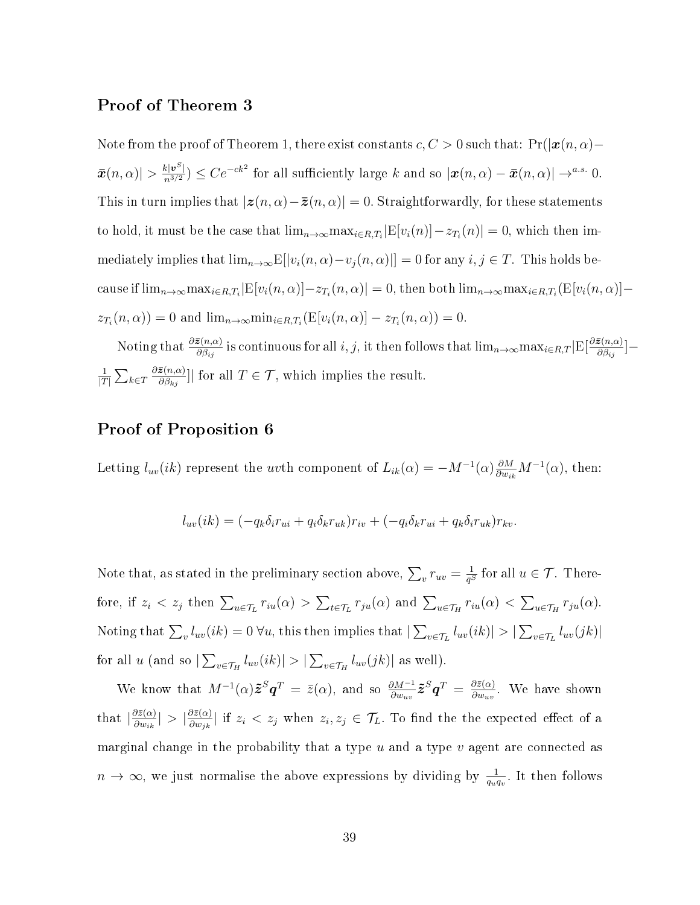#### Proof of Theorem 3

Note from the proof of Theorem 1, there exist constants  $c, C > 0$  such that:  $Pr(|x(n, \alpha) \bar{x}(n,\alpha)| > \frac{k|\bm{v}^S|}{n^{3/2}} \leq Ce^{-ck^2}$  for all sufficiently large k and so  $|\bm{x}(n,\alpha) - \bar{\bm{x}}(n,\alpha)| \to^{a.s.} 0$ . This in turn implies that  $|z(n, \alpha) - \overline{z}(n, \alpha)| = 0$ . Straightforwardly, for these statements to hold, it must be the case that  $\lim_{n\to\infty} \max_{i\in R,T_i} |E[v_i(n)] - z_{T_i}(n)| = 0$ , which then immediately implies that  $\lim_{n\to\infty} E[|v_i(n,\alpha)-v_j(n,\alpha)|] = 0$  for any  $i, j \in T$ . This holds because if  $\lim_{n\to\infty} \max_{i\in R,T_i} |E[v_i(n,\alpha)] - z_{T_i}(n,\alpha)| = 0$ , then both  $\lim_{n\to\infty} \max_{i\in R,T_i} (E[v_i(n,\alpha)] - z_{T_i}(n,\alpha))$  $z_{T_i}(n, \alpha)$  = 0 and  $\lim_{n \to \infty} \min_{i \in R, T_i} (E[v_i(n, \alpha)] - z_{T_i}(n, \alpha)) = 0.$ 

Noting that  $\frac{\partial \bar{z}(n,\alpha)}{\partial \beta_{ij}}$  is continuous for all i, j, it then follows that  $\lim_{n\to\infty} \max_{i\in R,T}$   $\left|\mathrm{E}\left[\frac{\partial \bar{z}(n,\alpha)}{\partial \beta_{ij}}\right]\right|$  $\frac{\mathcal{Z}(n, \alpha)}{\partial \beta_{ij}}$   $\Big]$   $\!-$ 1  $\frac{1}{|T|}\sum_{k\in T}$  $\partial \bar{\bm{z}}(n,\alpha)$  $\frac{\mathbf{z}(n,\alpha)}{\partial \beta_{kj}}$ || for all  $T \in \mathcal{T}$ , which implies the result.

#### Proof of Proposition 6

Letting  $l_{uv}(ik)$  represent the *uv*th component of  $L_{ik}(\alpha) = -M^{-1}(\alpha) \frac{\partial M}{\partial w_{ik}} M^{-1}(\alpha)$ , then:

$$
l_{uv}(ik) = (-q_k \delta_i r_{ui} + q_i \delta_k r_{uk}) r_{iv} + (-q_i \delta_k r_{ui} + q_k \delta_i r_{uk}) r_{kv}.
$$

Note that, as stated in the preliminary section above,  $\sum_{v} r_{uv} = \frac{1}{\tilde{q}^S_v}$  $\frac{1}{\bar{q}^S}$  for all  $u\in\mathcal{T}.$  Therefore, if  $z_i < z_j$  then  $\sum_{u \in \mathcal{T}_L} r_{iu}(\alpha) > \sum_{t \in \mathcal{T}_L} r_{ju}(\alpha)$  and  $\sum_{u \in \mathcal{T}_H} r_{iu}(\alpha) < \sum_{u \in \mathcal{T}_H} r_{ju}(\alpha)$ . Noting that  $\sum_{v} l_{uv}(ik) = 0 \ \forall u$ , this then implies that  $|\sum_{v \in \mathcal{T}_L} l_{uv}(ik)| > |\sum_{v \in \mathcal{T}_L} l_{uv}(jk)|$ for all u (and so  $|\sum_{v \in \mathcal{T}_H} l_{uv}(ik)| > |\sum_{v \in \mathcal{T}_H} l_{uv}(jk)|$  as well).

We know that  $M^{-1}(\alpha)\tilde{\bm{z}}^S\bm{q}^T = \bar{z}(\alpha)$ , and so  $\frac{\partial M^{-1}}{\partial w_{uv}}\tilde{\bm{z}}^S\bm{q}^T = \frac{\partial \bar{z}(\alpha)}{\partial w_{uv}}$  $\frac{\partial z(\alpha)}{\partial w_{uv}}$ . We have shown that  $\left| \frac{\partial \bar{z}(\alpha)}{\partial w_i} \right|$  $\frac{\partial \bar{z}(\alpha)}{\partial w_{ik}}\vert > \vert \frac{\partial \bar{z}(\alpha)}{\partial w_{jk}}\vert$  $\frac{\partial z(\alpha)}{\partial w_{jk}}|$  if  $z_i < z_j$  when  $z_i, z_j \in \mathcal{T}_L$ . To find the the expected effect of a marginal change in the probability that a type  $u$  and a type  $v$  agent are connected as  $n \to \infty$ , we just normalise the above expressions by dividing by  $\frac{1}{q_u q_v}$ . It then follows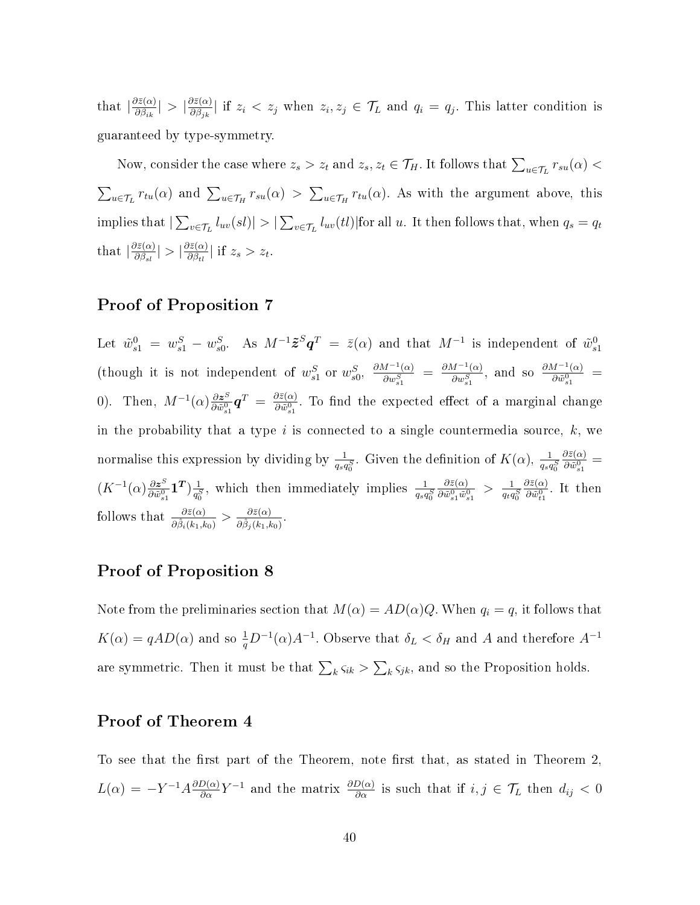that  $\left| \frac{\partial \bar{z}(\alpha)}{\partial \beta} \right|$  $\frac{\partial \bar{z}(\alpha)}{\partial \beta_{ik}}\vert \,>\, \vert \frac{\partial \bar{z}(\alpha)}{\partial \beta_{jk}}\vert$  $\frac{\partial z(\alpha)}{\partial \beta_{jk}}$  if  $z_i < z_j$  when  $z_i, z_j \in \mathcal{T}_L$  and  $q_i = q_j$ . This latter condition is guaranteed by type-symmetry.

Now, consider the case where  $z_s > z_t$  and  $z_s, z_t \in \mathcal{T}_H$ . It follows that  $\sum_{u \in \mathcal{T}_L} r_{su}(\alpha) <$  $\sum_{u \in \mathcal{T}_L} r_{tu}(\alpha)$  and  $\sum_{u \in \mathcal{T}_H} r_{su}(\alpha) > \sum_{u \in \mathcal{T}_H} r_{tu}(\alpha)$ . As with the argument above, this implies that  $|\sum_{v\in\mathcal{T}_L}l_{uv}(sl)|>|\sum_{v\in\mathcal{T}_L}l_{uv}(tl)|$  for all  $u.$  It then follows that, when  $q_s=q_t$ that  $\left| \frac{\partial \bar{z}(\alpha)}{\partial \beta} \right|$  $\frac{\partial \bar{z}(\alpha)}{\partial \beta_{sl}}\vert > \vert \frac{\partial \bar{z}(\alpha)}{\partial \beta_{tl}}\vert$  $\frac{\partial z(\alpha)}{\partial \beta_{tl}}$  if  $z_s > z_t$ .

#### Proof of Proposition 7

Let  $\tilde w^0_{s1}~=~w^S_{s1}~-~w^S_{s0}.~~~\hbox{As}~~ M^{-1}\tilde{\bm z}^S\bm q^T~=~\bar z(\alpha)$  and that  $M^{-1}$  is independent of  $\tilde w^0_{s1}$ (though it is not independent of  $w_{s1}^S$  or  $w_{s0}^S$ ,  $\frac{\partial M^{-1}(\alpha)}{\partial w_{s1}^S}$  $\frac{M^{-1}(\alpha)}{\partial w_{s1}^S}$  =  $\frac{\partial M^{-1}(\alpha)}{\partial w_{s1}^S}$  $\frac{M^{-1}(\alpha)}{\partial w_{s1}^S}$ , and so  $\frac{\partial M^{-1}(\alpha)}{\partial \tilde{w}_{s1}^0}$  $\frac{d^{n-1}(\alpha)}{\partial \tilde{w}^0_{s1}} =$ 0). Then,  $M^{-1}(\alpha) \frac{\partial z^S}{\partial \tilde{w}^0}$  $\frac{\partial \boldsymbol{z}^S}{\partial \tilde{w}^0_{s1}} \boldsymbol{q}^T \: = \: \frac{\partial \bar{z}(\alpha)}{\partial \tilde{w}^0_{s1}}$  $\frac{\partial z(\alpha)}{\partial \tilde{w}_{s1}^0}$ . To find the expected effect of a marginal change in the probability that a type  $i$  is connected to a single countermedia source,  $k$ , we normalise this expression by dividing by  $\frac{1}{q_s q_0^S}$ . Given the definition of  $K(\alpha)$ ,  $\frac{1}{q_s q}$  $q_s q_0^S$  $\partial \bar{z}(\alpha)$  $\frac{\partial z(\alpha)}{\partial \tilde w_{s1}^0} =$  $(K^{-1}(\alpha)\frac{\partial z^{S}}{\partial \tilde{x}^{0}})$  $\frac{\partial \boldsymbol{z}^S}{\partial \tilde{w}^0_{s1}} \boldsymbol{1^T}) \frac{1}{q^s_0}$  $\frac{1}{q_0^S}$ , which then immediately implies  $\frac{1}{q_s q_0^S}$  $\partial \bar{z}(\alpha)$  $\frac{\partial \bar{z}(\alpha)}{\partial \tilde{w}^0_{s1}\tilde{w}^0_{s1}} > \frac{1}{q_t q}$  $\overline{q_t q_0^S}$  $\partial \bar{z}(\alpha)$  $\frac{\partial z(\alpha)}{\partial \tilde{w}_{t1}^0}$ . It then follows that  $\frac{\partial \bar{z}(\alpha)}{\partial \hat{\beta}_i(k_1,k_0)} > \frac{\partial \bar{z}(\alpha)}{\partial \hat{\beta}_j(k_1,k_2)}$  $\frac{\partial z(\alpha)}{\partial \hat{\beta}_j(k_1,k_0)}$  .

#### Proof of Proposition 8

Note from the preliminaries section that  $M(\alpha) = AD(\alpha)Q$ . When  $q_i = q$ , it follows that  $K(\alpha) = qAD(\alpha)$  and so  $\frac{1}{q}D^{-1}(\alpha)A^{-1}$ . Observe that  $\delta_L < \delta_H$  and A and therefore  $A^{-1}$ are symmetric. Then it must be that  $\sum_{k} \varsigma_{ik} > \sum_{k} \varsigma_{jk}$ , and so the Proposition holds.

### Proof of Theorem 4

To see that the first part of the Theorem, note first that, as stated in Theorem 2.  $L(\alpha) = -Y^{-1}A\frac{\partial D(\alpha)}{\partial \alpha}Y^{-1}$  and the matrix  $\frac{\partial D(\alpha)}{\partial \alpha}$  is such that if  $i, j \in \mathcal{T}_L$  then  $d_{ij} < 0$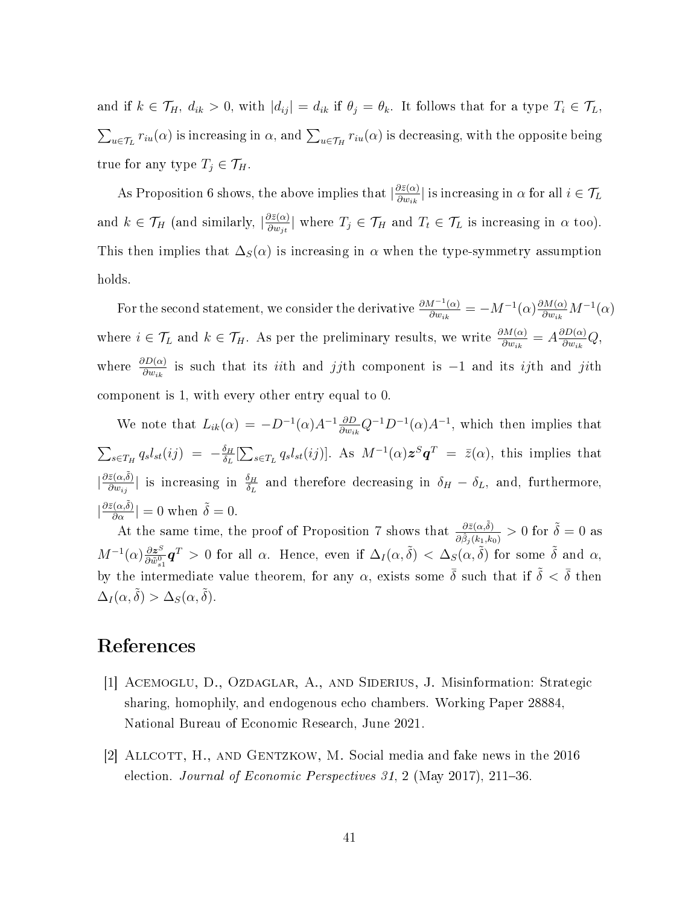and if  $k \in \mathcal{T}_H$ ,  $d_{ik} > 0$ , with  $|d_{ij}| = d_{ik}$  if  $\theta_j = \theta_k$ . It follows that for a type  $T_i \in \mathcal{T}_L$ ,  $\sum_{u\in\mathcal{T}_L}r_{iu}(\alpha)$  is increasing in  $\alpha,$  and  $\sum_{u\in\mathcal{T}_H}r_{iu}(\alpha)$  is decreasing, with the opposite being true for any type  $T_j \in \mathcal{T}_H$ .

As Proposition 6 shows, the above implies that  $\left|\frac{\partial \bar{z}(\alpha)}{\partial w_{ij}}\right|$  $\frac{\partial z(\alpha)}{\partial w_{ik}}|$  is increasing in  $\alpha$  for all  $i \in \mathcal{T}_L$ and  $k \in \mathcal{T}_H$  (and similarly,  $\left| \frac{\partial \bar{z}(\alpha)}{\partial w_{it}} \right|$  $\frac{\partial z(\alpha)}{\partial w_{jt}}$  where  $T_j \in \mathcal{T}_H$  and  $T_t \in \mathcal{T}_L$  is increasing in  $\alpha$  too). This then implies that  $\Delta_S(\alpha)$  is increasing in  $\alpha$  when the type-symmetry assumption holds.

For the second statement, we consider the derivative  $\frac{\partial M^{-1}(\alpha)}{\partial w_{ij}}$  $\frac{d^{n-1}(\alpha)}{\partial w_{ik}} = -M^{-1}(\alpha) \frac{\partial M(\alpha)}{\partial w_{ik}} M^{-1}(\alpha)$ where  $i \in \mathcal{T}_L$  and  $k \in \mathcal{T}_H$ . As per the preliminary results, we write  $\frac{\partial M(\alpha)}{\partial w_{ik}} = A \frac{\partial D(\alpha)}{\partial w_{ik}}$  $\frac{\partial D(\alpha)}{\partial w_{ik}}Q,$ where  $\frac{\partial D(\alpha)}{\partial w_{ik}}$  is such that its *ii*th and jjth component is -1 and its *ij*th and jith component is 1, with every other entry equal to 0.

We note that  $L_{ik}(\alpha) = -D^{-1}(\alpha)A^{-1}\frac{\partial D}{\partial w_{ik}}Q^{-1}D^{-1}(\alpha)A^{-1}$ , which then implies that  $\sum_{s\in T_H} q_s l_{st}(ij) = -\frac{\delta_H}{\delta_L}$  $\frac{\delta_H}{\delta_L}[\sum_{s\in T_L}q_sl_{st}(ij)].$  As  $M^{-1}(\alpha)\bm{z}^S\bm{q}^T\ =\ \bar{z}(\alpha),$  this implies that  $\left|\frac{\partial \bar{z}(\alpha,\tilde{\delta})}{\partial w}\right|$  $\frac{\bar{z}(\alpha,\delta)}{\partial w_{ij}}$  is increasing in  $\frac{\delta_H}{\delta_L}$  and therefore decreasing in  $\delta_H-\delta_L$ , and, furthermore,  $|\frac{\partial \bar{z}(\alpha,\tilde{\delta})}{\partial \alpha}|=0$  when  $\tilde{\delta}=0.$ 

At the same time, the proof of Proposition 7 shows that  $\frac{\partial \bar{z}(\alpha,\tilde{\delta})}{\partial \hat{\beta}_j(k_1,k_0)} > 0$  for  $\tilde{\delta} = 0$  as  $M^{-1}(\alpha) \frac{\partial z^{S}}{\partial \tilde{x}^{0}}$  $\frac{\partial z^S}{\partial \tilde{w}^0_{s1}} \bm{q}^T > 0$  for all  $\alpha$ . Hence, even if  $\Delta_I(\alpha, \tilde{\delta}) < \Delta_S(\alpha, \tilde{\delta})$  for some  $\tilde{\delta}$  and  $\alpha$ , by the intermediate value theorem, for any  $\alpha$ , exists some  $\bar{\delta}$  such that if  $\tilde{\delta} < \bar{\delta}$  then  $\Delta_I(\alpha, \tilde{\delta}) > \Delta_S(\alpha, \tilde{\delta}).$ 

# References

- [1] Acemoglu, D., Ozdaglar, A., and Siderius, J. Misinformation: Strategic sharing, homophily, and endogenous echo chambers. Working Paper 28884, National Bureau of Economic Research, June 2021.
- [2] ALLCOTT, H., AND GENTZKOW, M. Social media and fake news in the 2016 election. Journal of Economic Perspectives 31, 2 (May 2017), 211–36.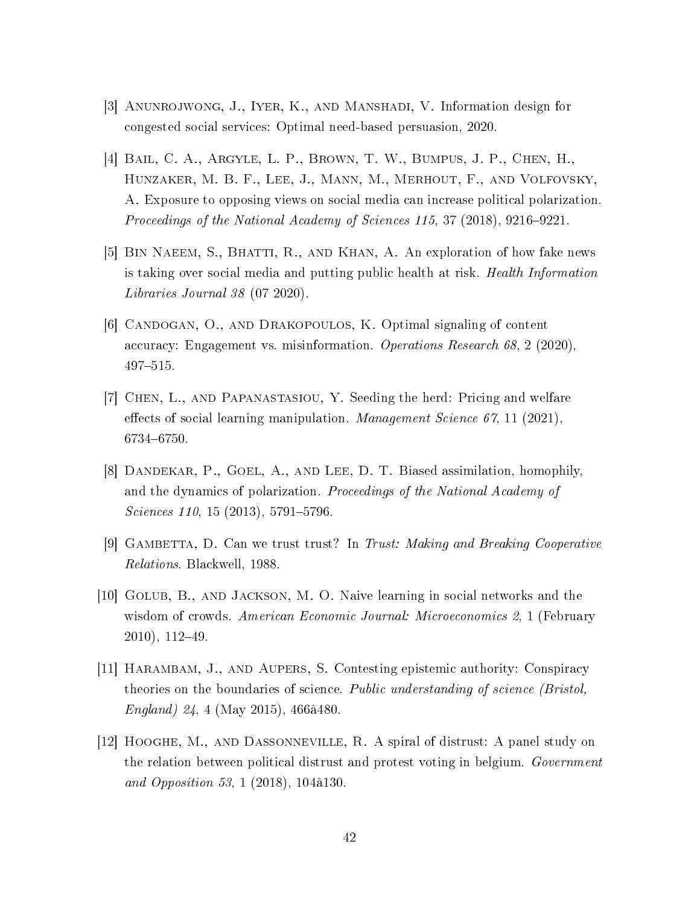- [3] Anunrojwong, J., Iyer, K., and Manshadi, V. Information design for congested social services: Optimal need-based persuasion, 2020.
- [4] Bail, C. A., Argyle, L. P., Brown, T. W., Bumpus, J. P., Chen, H., Hunzaker, M. B. F., Lee, J., Mann, M., Merhout, F., and Volfovsky, A. Exposure to opposing views on social media can increase political polarization. Proceedings of the National Academy of Sciences  $115$ ,  $37$  (2018), 9216-9221.
- [5] BIN NAEEM, S., BHATTI, R., AND KHAN, A. An exploration of how fake news is taking over social media and putting public health at risk. Health Information Libraries Journal 38 (07 2020).
- [6] Candogan, O., and Drakopoulos, K. Optimal signaling of content accuracy: Engagement vs. misinformation. Operations Research 68, 2 (2020), 497-515.
- [7] Chen, L., and Papanastasiou, Y. Seeding the herd: Pricing and welfare effects of social learning manipulation. Management Science 67, 11 (2021), 6734-6750.
- [8] DANDEKAR, P., GOEL, A., AND LEE, D. T. Biased assimilation, homophily, and the dynamics of polarization. Proceedings of the National Academy of  $Sciences$  110, 15 (2013), 5791-5796.
- [9] GAMBETTA, D. Can we trust trust? In Trust: Making and Breaking Cooperative Relations. Blackwell, 1988.
- [10] Golub, B., and Jackson, M. O. Naive learning in social networks and the wisdom of crowds. American Economic Journal: Microeconomics 2, 1 (February  $2010$ ,  $112-49$ .
- [11] Harambam, J., and Aupers, S. Contesting epistemic authority: Conspiracy theories on the boundaries of science. Public understanding of science (Bristol, England) 24, 4 (May 2015), 466â480.
- [12] Hooghe, M., and Dassonneville, R. A spiral of distrust: A panel study on the relation between political distrust and protest voting in belgium. Government and Opposition 53, 1 (2018), 104â130.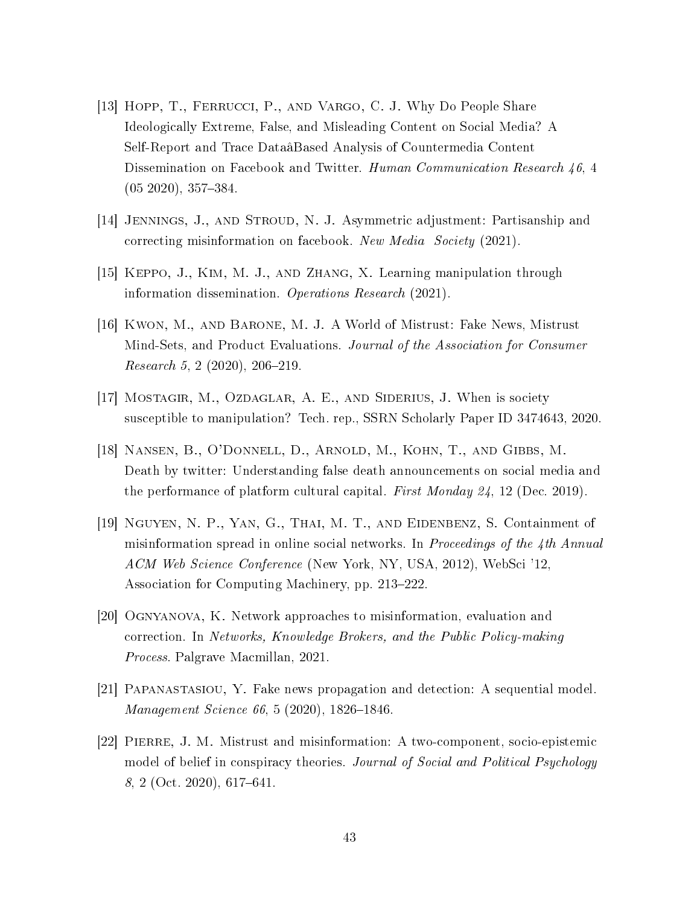- [13] HOPP, T., FERRUCCI, P., AND VARGO, C. J. Why Do People Share Ideologically Extreme, False, and Misleading Content on Social Media? A Self-Report and Trace DataâBased Analysis of Countermedia Content Dissemination on Facebook and Twitter. Human Communication Research 46, 4  $(05 2020), 357-384.$
- [14] Jennings, J., and Stroud, N. J. Asymmetric adjustment: Partisanship and correcting misinformation on facebook. New Media Society (2021).
- [15] Keppo, J., Kim, M. J., and Zhang, X. Learning manipulation through information dissemination. Operations Research (2021).
- [16] Kwon, M., and Barone, M. J. A World of Mistrust: Fake News, Mistrust Mind-Sets, and Product Evaluations. Journal of the Association for Consumer  $Research 5, 2 (2020), 206-219.$
- [17] Mostagir, M., Ozdaglar, A. E., and Siderius, J. When is society susceptible to manipulation? Tech. rep., SSRN Scholarly Paper ID 3474643, 2020.
- [18] Nansen, B., O'Donnell, D., Arnold, M., Kohn, T., and Gibbs, M. Death by twitter: Understanding false death announcements on social media and the performance of platform cultural capital. First Monday 24, 12 (Dec. 2019).
- [19] Nguyen, N. P., Yan, G., Thai, M. T., and Eidenbenz, S. Containment of misinformation spread in online social networks. In Proceedings of the 4th Annual ACM Web Science Conference (New York, NY, USA, 2012), WebSci '12, Association for Computing Machinery, pp. 213–222.
- [20] Ognyanova, K. Network approaches to misinformation, evaluation and correction. In Networks, Knowledge Brokers, and the Public Policy-making Process. Palgrave Macmillan, 2021.
- [21] Papanastasiou, Y. Fake news propagation and detection: A sequential model. Management Science 66, 5 (2020), 1826-1846.
- [22] Pierre, J. M. Mistrust and misinformation: A two-component, socio-epistemic model of belief in conspiracy theories. Journal of Social and Political Psychology  $8, 2$  (Oct. 2020), 617–641.